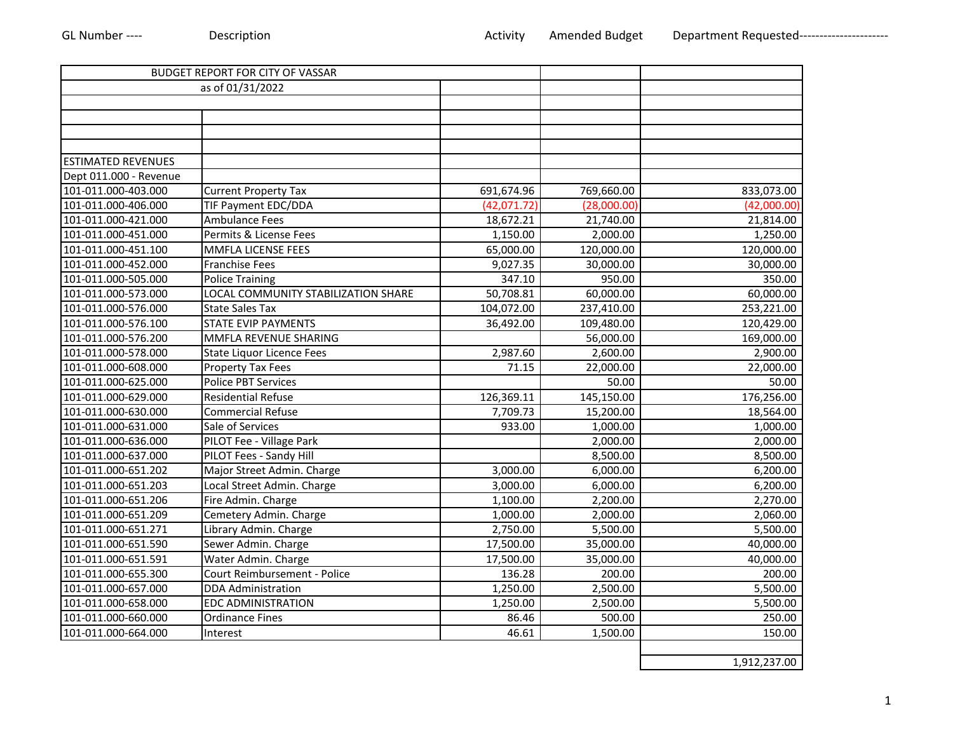|                           | BUDGET REPORT FOR CITY OF VASSAR    |             |             |              |
|---------------------------|-------------------------------------|-------------|-------------|--------------|
|                           | as of 01/31/2022                    |             |             |              |
|                           |                                     |             |             |              |
|                           |                                     |             |             |              |
|                           |                                     |             |             |              |
|                           |                                     |             |             |              |
| <b>ESTIMATED REVENUES</b> |                                     |             |             |              |
| Dept 011.000 - Revenue    |                                     |             |             |              |
| 101-011.000-403.000       | <b>Current Property Tax</b>         | 691,674.96  | 769,660.00  | 833,073.00   |
| 101-011.000-406.000       | TIF Payment EDC/DDA                 | (42,071.72) | (28,000.00) | (42,000.00)  |
| 101-011.000-421.000       | Ambulance Fees                      | 18,672.21   | 21,740.00   | 21,814.00    |
| 101-011.000-451.000       | Permits & License Fees              | 1,150.00    | 2,000.00    | 1,250.00     |
| 101-011.000-451.100       | <b>MMFLA LICENSE FEES</b>           | 65,000.00   | 120,000.00  | 120,000.00   |
| 101-011.000-452.000       | Franchise Fees                      | 9,027.35    | 30,000.00   | 30,000.00    |
| 101-011.000-505.000       | <b>Police Training</b>              | 347.10      | 950.00      | 350.00       |
| 101-011.000-573.000       | LOCAL COMMUNITY STABILIZATION SHARE | 50,708.81   | 60,000.00   | 60,000.00    |
| 101-011.000-576.000       | <b>State Sales Tax</b>              | 104,072.00  | 237,410.00  | 253,221.00   |
| 101-011.000-576.100       | <b>STATE EVIP PAYMENTS</b>          | 36,492.00   | 109,480.00  | 120,429.00   |
| 101-011.000-576.200       | MMFLA REVENUE SHARING               |             | 56,000.00   | 169,000.00   |
| 101-011.000-578.000       | <b>State Liquor Licence Fees</b>    | 2,987.60    | 2,600.00    | 2,900.00     |
| 101-011.000-608.000       | <b>Property Tax Fees</b>            | 71.15       | 22,000.00   | 22,000.00    |
| 101-011.000-625.000       | <b>Police PBT Services</b>          |             | 50.00       | 50.00        |
| 101-011.000-629.000       | <b>Residential Refuse</b>           | 126,369.11  | 145,150.00  | 176,256.00   |
| 101-011.000-630.000       | <b>Commercial Refuse</b>            | 7,709.73    | 15,200.00   | 18,564.00    |
| 101-011.000-631.000       | Sale of Services                    | 933.00      | 1,000.00    | 1,000.00     |
| 101-011.000-636.000       | PILOT Fee - Village Park            |             | 2,000.00    | 2,000.00     |
| 101-011.000-637.000       | PILOT Fees - Sandy Hill             |             | 8,500.00    | 8,500.00     |
| 101-011.000-651.202       | Major Street Admin. Charge          | 3,000.00    | 6,000.00    | 6,200.00     |
| 101-011.000-651.203       | Local Street Admin. Charge          | 3,000.00    | 6,000.00    | 6,200.00     |
| 101-011.000-651.206       | Fire Admin. Charge                  | 1,100.00    | 2,200.00    | 2,270.00     |
| 101-011.000-651.209       | Cemetery Admin. Charge              | 1,000.00    | 2,000.00    | 2,060.00     |
| 101-011.000-651.271       | Library Admin. Charge               | 2,750.00    | 5,500.00    | 5,500.00     |
| 101-011.000-651.590       | Sewer Admin. Charge                 | 17,500.00   | 35,000.00   | 40,000.00    |
| 101-011.000-651.591       | Water Admin. Charge                 | 17,500.00   | 35,000.00   | 40,000.00    |
| 101-011.000-655.300       | Court Reimbursement - Police        | 136.28      | 200.00      | 200.00       |
| 101-011.000-657.000       | <b>DDA Administration</b>           | 1,250.00    | 2,500.00    | 5,500.00     |
| 101-011.000-658.000       | <b>EDC ADMINISTRATION</b>           | 1.250.00    | 2,500.00    | 5,500.00     |
| 101-011.000-660.000       | <b>Ordinance Fines</b>              | 86.46       | 500.00      | 250.00       |
| 101-011.000-664.000       | Interest                            | 46.61       | 1,500.00    | 150.00       |
|                           |                                     |             |             |              |
|                           |                                     |             |             | 1,912,237.00 |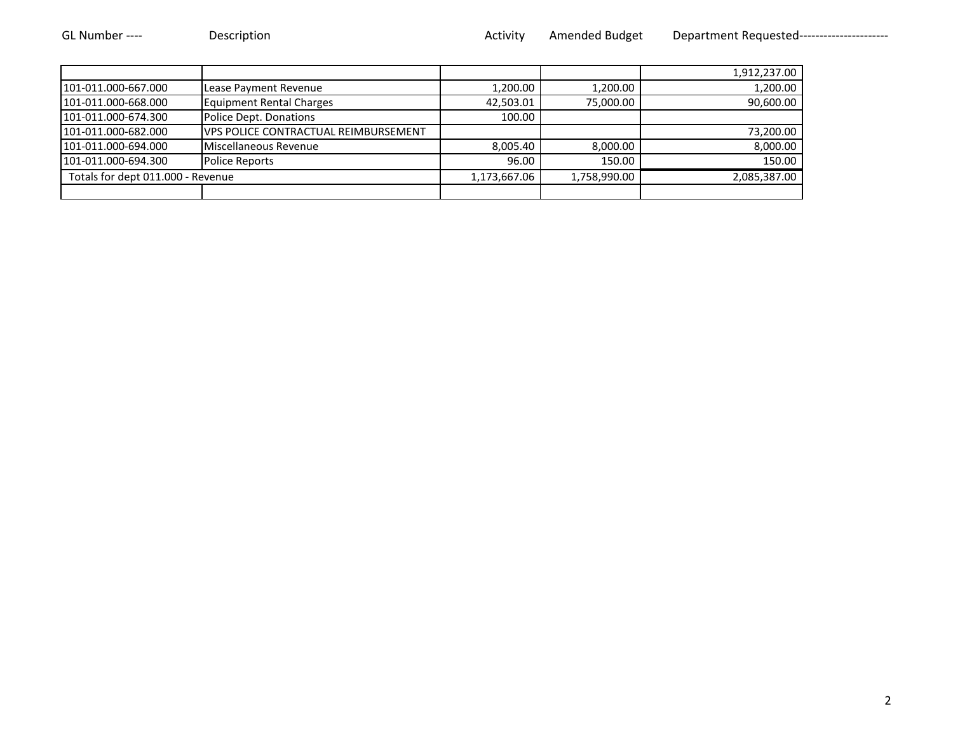|                                   |                                             |              |              | 1,912,237.00 |
|-----------------------------------|---------------------------------------------|--------------|--------------|--------------|
| 101-011.000-667.000               | Lease Payment Revenue                       | 1,200.00     | 1,200.00     | 1,200.00     |
| 101-011.000-668.000               | <b>Equipment Rental Charges</b>             | 42,503.01    | 75,000.00    | 90,600.00    |
| 101-011.000-674.300               | Police Dept. Donations                      | 100.00       |              |              |
| 101-011.000-682.000               | <b>VPS POLICE CONTRACTUAL REIMBURSEMENT</b> |              |              | 73,200.00    |
| 101-011.000-694.000               | Miscellaneous Revenue                       | 8,005.40     | 8,000.00     | 8,000.00     |
| 101-011.000-694.300               | <b>Police Reports</b>                       | 96.00        | 150.00       | 150.00       |
| Totals for dept 011.000 - Revenue |                                             | 1,173,667.06 | 1,758,990.00 | 2,085,387.00 |
|                                   |                                             |              |              |              |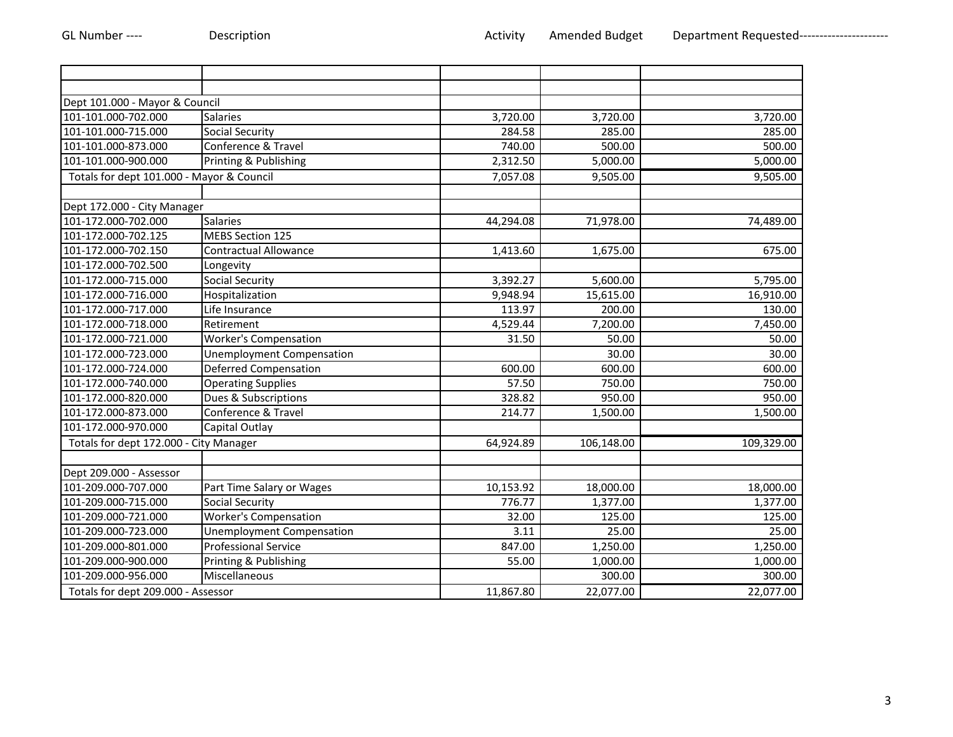| Dept 101.000 - Mayor & Council            |                              |           |            |            |
|-------------------------------------------|------------------------------|-----------|------------|------------|
| 101-101.000-702.000                       | <b>Salaries</b>              | 3,720.00  | 3,720.00   | 3,720.00   |
| 101-101.000-715.000                       | <b>Social Security</b>       | 284.58    | 285.00     | 285.00     |
| 101-101.000-873.000                       | Conference & Travel          | 740.00    | 500.00     | 500.00     |
| 101-101.000-900.000                       | Printing & Publishing        | 2,312.50  | 5,000.00   | 5,000.00   |
| Totals for dept 101.000 - Mayor & Council |                              | 7,057.08  | 9,505.00   | 9,505.00   |
|                                           |                              |           |            |            |
| Dept 172.000 - City Manager               |                              |           |            |            |
| 101-172.000-702.000                       | <b>Salaries</b>              | 44,294.08 | 71,978.00  | 74,489.00  |
| 101-172.000-702.125                       | <b>MEBS Section 125</b>      |           |            |            |
| 101-172.000-702.150                       | <b>Contractual Allowance</b> | 1,413.60  | 1,675.00   | 675.00     |
| 101-172.000-702.500                       | Longevity                    |           |            |            |
| 101-172.000-715.000                       | Social Security              | 3,392.27  | 5,600.00   | 5,795.00   |
| 101-172.000-716.000                       | Hospitalization              | 9,948.94  | 15,615.00  | 16,910.00  |
| 101-172.000-717.000                       | Life Insurance               | 113.97    | 200.00     | 130.00     |
| 101-172.000-718.000                       | Retirement                   | 4,529.44  | 7,200.00   | 7,450.00   |
| 101-172.000-721.000                       | <b>Worker's Compensation</b> | 31.50     | 50.00      | 50.00      |
| 101-172.000-723.000                       | Unemployment Compensation    |           | 30.00      | 30.00      |
| 101-172.000-724.000                       | <b>Deferred Compensation</b> | 600.00    | 600.00     | 600.00     |
| 101-172.000-740.000                       | <b>Operating Supplies</b>    | 57.50     | 750.00     | 750.00     |
| 101-172.000-820.000                       | Dues & Subscriptions         | 328.82    | 950.00     | 950.00     |
| 101-172.000-873.000                       | Conference & Travel          | 214.77    | 1,500.00   | 1,500.00   |
| 101-172.000-970.000                       | Capital Outlay               |           |            |            |
| Totals for dept 172.000 - City Manager    |                              | 64,924.89 | 106,148.00 | 109,329.00 |
|                                           |                              |           |            |            |
| Dept 209.000 - Assessor                   |                              |           |            |            |
| 101-209.000-707.000                       | Part Time Salary or Wages    | 10,153.92 | 18,000.00  | 18,000.00  |
| 101-209.000-715.000                       | Social Security              | 776.77    | 1,377.00   | 1,377.00   |
| 101-209.000-721.000                       | <b>Worker's Compensation</b> | 32.00     | 125.00     | 125.00     |
| 101-209.000-723.000                       | Unemployment Compensation    | 3.11      | 25.00      | 25.00      |
| 101-209.000-801.000                       | <b>Professional Service</b>  | 847.00    | 1,250.00   | 1,250.00   |
| 101-209.000-900.000                       | Printing & Publishing        | 55.00     | 1,000.00   | 1,000.00   |
| 101-209.000-956.000                       | Miscellaneous                |           | 300.00     | 300.00     |
| Totals for dept 209.000 - Assessor        |                              | 11,867.80 | 22,077.00  | 22,077.00  |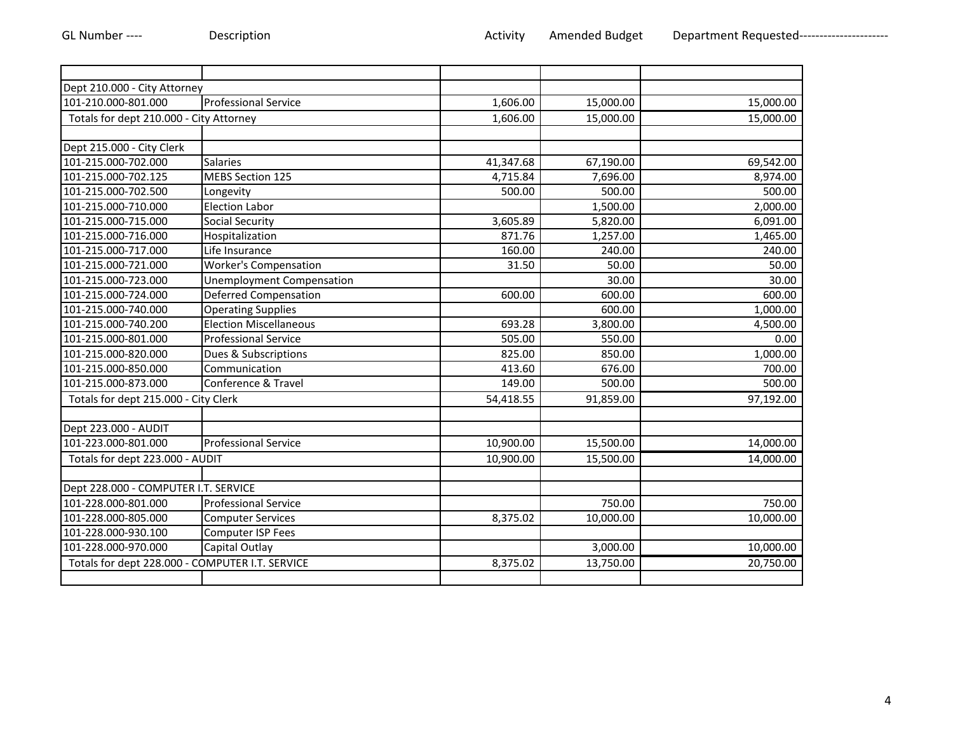| Dept 210.000 - City Attorney<br><b>Professional Service</b><br>1,606.00<br>15,000.00<br>15,000.00<br>15,000.00<br>Totals for dept 210.000 - City Attorney<br>15,000.00<br>1,606.00<br>41,347.68<br>67,190.00<br>69,542.00<br><b>Salaries</b><br><b>MEBS Section 125</b><br>4,715.84<br>7,696.00<br>8,974.00<br>500.00<br>Longevity<br>500.00<br>500.00<br>Election Labor<br>1,500.00<br>2,000.00<br><b>Social Security</b><br>6,091.00<br>3,605.89<br>5,820.00<br>871.76<br>1,257.00<br>1,465.00<br>Hospitalization<br>Life Insurance<br>160.00<br>240.00<br>240.00<br><b>Worker's Compensation</b><br>31.50<br>50.00<br>50.00<br>30.00<br>30.00<br><b>Unemployment Compensation</b><br><b>Deferred Compensation</b><br>600.00<br>600.00<br>600.00<br><b>Operating Supplies</b><br>600.00<br>1,000.00<br><b>Election Miscellaneous</b><br>693.28<br>3,800.00<br>4,500.00<br><b>Professional Service</b><br>505.00<br>550.00<br>0.00<br>825.00<br>Dues & Subscriptions<br>850.00<br>1,000.00<br>700.00<br>Communication<br>413.60<br>676.00<br>Conference & Travel<br>149.00<br>500.00<br>500.00<br>97,192.00<br>Totals for dept 215.000 - City Clerk<br>54,418.55<br>91,859.00<br>101-223.000-801.000<br><b>Professional Service</b><br>10,900.00<br>15,500.00<br>14,000.00<br>Totals for dept 223.000 - AUDIT<br>10,900.00<br>14,000.00<br>15,500.00<br>Dept 228.000 - COMPUTER I.T. SERVICE<br>750.00<br>750.00<br><b>Professional Service</b><br>8,375.02<br>10,000.00<br>10,000.00<br><b>Computer Services</b><br>Computer ISP Fees<br>101-228.000-970.000<br>3,000.00<br>10,000.00<br>Capital Outlay<br>Totals for dept 228.000 - COMPUTER I.T. SERVICE<br>20,750.00<br>8,375.02<br>13,750.00 |                           |  |  |
|----------------------------------------------------------------------------------------------------------------------------------------------------------------------------------------------------------------------------------------------------------------------------------------------------------------------------------------------------------------------------------------------------------------------------------------------------------------------------------------------------------------------------------------------------------------------------------------------------------------------------------------------------------------------------------------------------------------------------------------------------------------------------------------------------------------------------------------------------------------------------------------------------------------------------------------------------------------------------------------------------------------------------------------------------------------------------------------------------------------------------------------------------------------------------------------------------------------------------------------------------------------------------------------------------------------------------------------------------------------------------------------------------------------------------------------------------------------------------------------------------------------------------------------------------------------------------------------------------------------------------------------------------------------------------------------------------|---------------------------|--|--|
|                                                                                                                                                                                                                                                                                                                                                                                                                                                                                                                                                                                                                                                                                                                                                                                                                                                                                                                                                                                                                                                                                                                                                                                                                                                                                                                                                                                                                                                                                                                                                                                                                                                                                                    |                           |  |  |
|                                                                                                                                                                                                                                                                                                                                                                                                                                                                                                                                                                                                                                                                                                                                                                                                                                                                                                                                                                                                                                                                                                                                                                                                                                                                                                                                                                                                                                                                                                                                                                                                                                                                                                    | 101-210.000-801.000       |  |  |
|                                                                                                                                                                                                                                                                                                                                                                                                                                                                                                                                                                                                                                                                                                                                                                                                                                                                                                                                                                                                                                                                                                                                                                                                                                                                                                                                                                                                                                                                                                                                                                                                                                                                                                    |                           |  |  |
|                                                                                                                                                                                                                                                                                                                                                                                                                                                                                                                                                                                                                                                                                                                                                                                                                                                                                                                                                                                                                                                                                                                                                                                                                                                                                                                                                                                                                                                                                                                                                                                                                                                                                                    |                           |  |  |
|                                                                                                                                                                                                                                                                                                                                                                                                                                                                                                                                                                                                                                                                                                                                                                                                                                                                                                                                                                                                                                                                                                                                                                                                                                                                                                                                                                                                                                                                                                                                                                                                                                                                                                    | Dept 215.000 - City Clerk |  |  |
|                                                                                                                                                                                                                                                                                                                                                                                                                                                                                                                                                                                                                                                                                                                                                                                                                                                                                                                                                                                                                                                                                                                                                                                                                                                                                                                                                                                                                                                                                                                                                                                                                                                                                                    | 101-215.000-702.000       |  |  |
|                                                                                                                                                                                                                                                                                                                                                                                                                                                                                                                                                                                                                                                                                                                                                                                                                                                                                                                                                                                                                                                                                                                                                                                                                                                                                                                                                                                                                                                                                                                                                                                                                                                                                                    | 101-215.000-702.125       |  |  |
|                                                                                                                                                                                                                                                                                                                                                                                                                                                                                                                                                                                                                                                                                                                                                                                                                                                                                                                                                                                                                                                                                                                                                                                                                                                                                                                                                                                                                                                                                                                                                                                                                                                                                                    | 101-215.000-702.500       |  |  |
|                                                                                                                                                                                                                                                                                                                                                                                                                                                                                                                                                                                                                                                                                                                                                                                                                                                                                                                                                                                                                                                                                                                                                                                                                                                                                                                                                                                                                                                                                                                                                                                                                                                                                                    | 101-215.000-710.000       |  |  |
|                                                                                                                                                                                                                                                                                                                                                                                                                                                                                                                                                                                                                                                                                                                                                                                                                                                                                                                                                                                                                                                                                                                                                                                                                                                                                                                                                                                                                                                                                                                                                                                                                                                                                                    | 101-215.000-715.000       |  |  |
|                                                                                                                                                                                                                                                                                                                                                                                                                                                                                                                                                                                                                                                                                                                                                                                                                                                                                                                                                                                                                                                                                                                                                                                                                                                                                                                                                                                                                                                                                                                                                                                                                                                                                                    | 101-215.000-716.000       |  |  |
|                                                                                                                                                                                                                                                                                                                                                                                                                                                                                                                                                                                                                                                                                                                                                                                                                                                                                                                                                                                                                                                                                                                                                                                                                                                                                                                                                                                                                                                                                                                                                                                                                                                                                                    | 101-215.000-717.000       |  |  |
|                                                                                                                                                                                                                                                                                                                                                                                                                                                                                                                                                                                                                                                                                                                                                                                                                                                                                                                                                                                                                                                                                                                                                                                                                                                                                                                                                                                                                                                                                                                                                                                                                                                                                                    | 101-215.000-721.000       |  |  |
|                                                                                                                                                                                                                                                                                                                                                                                                                                                                                                                                                                                                                                                                                                                                                                                                                                                                                                                                                                                                                                                                                                                                                                                                                                                                                                                                                                                                                                                                                                                                                                                                                                                                                                    | 101-215.000-723.000       |  |  |
|                                                                                                                                                                                                                                                                                                                                                                                                                                                                                                                                                                                                                                                                                                                                                                                                                                                                                                                                                                                                                                                                                                                                                                                                                                                                                                                                                                                                                                                                                                                                                                                                                                                                                                    | 101-215.000-724.000       |  |  |
|                                                                                                                                                                                                                                                                                                                                                                                                                                                                                                                                                                                                                                                                                                                                                                                                                                                                                                                                                                                                                                                                                                                                                                                                                                                                                                                                                                                                                                                                                                                                                                                                                                                                                                    | 101-215.000-740.000       |  |  |
|                                                                                                                                                                                                                                                                                                                                                                                                                                                                                                                                                                                                                                                                                                                                                                                                                                                                                                                                                                                                                                                                                                                                                                                                                                                                                                                                                                                                                                                                                                                                                                                                                                                                                                    | 101-215.000-740.200       |  |  |
|                                                                                                                                                                                                                                                                                                                                                                                                                                                                                                                                                                                                                                                                                                                                                                                                                                                                                                                                                                                                                                                                                                                                                                                                                                                                                                                                                                                                                                                                                                                                                                                                                                                                                                    | 101-215.000-801.000       |  |  |
|                                                                                                                                                                                                                                                                                                                                                                                                                                                                                                                                                                                                                                                                                                                                                                                                                                                                                                                                                                                                                                                                                                                                                                                                                                                                                                                                                                                                                                                                                                                                                                                                                                                                                                    | 101-215.000-820.000       |  |  |
|                                                                                                                                                                                                                                                                                                                                                                                                                                                                                                                                                                                                                                                                                                                                                                                                                                                                                                                                                                                                                                                                                                                                                                                                                                                                                                                                                                                                                                                                                                                                                                                                                                                                                                    | 101-215.000-850.000       |  |  |
|                                                                                                                                                                                                                                                                                                                                                                                                                                                                                                                                                                                                                                                                                                                                                                                                                                                                                                                                                                                                                                                                                                                                                                                                                                                                                                                                                                                                                                                                                                                                                                                                                                                                                                    | 101-215.000-873.000       |  |  |
|                                                                                                                                                                                                                                                                                                                                                                                                                                                                                                                                                                                                                                                                                                                                                                                                                                                                                                                                                                                                                                                                                                                                                                                                                                                                                                                                                                                                                                                                                                                                                                                                                                                                                                    |                           |  |  |
|                                                                                                                                                                                                                                                                                                                                                                                                                                                                                                                                                                                                                                                                                                                                                                                                                                                                                                                                                                                                                                                                                                                                                                                                                                                                                                                                                                                                                                                                                                                                                                                                                                                                                                    |                           |  |  |
|                                                                                                                                                                                                                                                                                                                                                                                                                                                                                                                                                                                                                                                                                                                                                                                                                                                                                                                                                                                                                                                                                                                                                                                                                                                                                                                                                                                                                                                                                                                                                                                                                                                                                                    | Dept 223.000 - AUDIT      |  |  |
|                                                                                                                                                                                                                                                                                                                                                                                                                                                                                                                                                                                                                                                                                                                                                                                                                                                                                                                                                                                                                                                                                                                                                                                                                                                                                                                                                                                                                                                                                                                                                                                                                                                                                                    |                           |  |  |
|                                                                                                                                                                                                                                                                                                                                                                                                                                                                                                                                                                                                                                                                                                                                                                                                                                                                                                                                                                                                                                                                                                                                                                                                                                                                                                                                                                                                                                                                                                                                                                                                                                                                                                    |                           |  |  |
|                                                                                                                                                                                                                                                                                                                                                                                                                                                                                                                                                                                                                                                                                                                                                                                                                                                                                                                                                                                                                                                                                                                                                                                                                                                                                                                                                                                                                                                                                                                                                                                                                                                                                                    |                           |  |  |
|                                                                                                                                                                                                                                                                                                                                                                                                                                                                                                                                                                                                                                                                                                                                                                                                                                                                                                                                                                                                                                                                                                                                                                                                                                                                                                                                                                                                                                                                                                                                                                                                                                                                                                    |                           |  |  |
|                                                                                                                                                                                                                                                                                                                                                                                                                                                                                                                                                                                                                                                                                                                                                                                                                                                                                                                                                                                                                                                                                                                                                                                                                                                                                                                                                                                                                                                                                                                                                                                                                                                                                                    | 101-228.000-801.000       |  |  |
|                                                                                                                                                                                                                                                                                                                                                                                                                                                                                                                                                                                                                                                                                                                                                                                                                                                                                                                                                                                                                                                                                                                                                                                                                                                                                                                                                                                                                                                                                                                                                                                                                                                                                                    | 101-228.000-805.000       |  |  |
|                                                                                                                                                                                                                                                                                                                                                                                                                                                                                                                                                                                                                                                                                                                                                                                                                                                                                                                                                                                                                                                                                                                                                                                                                                                                                                                                                                                                                                                                                                                                                                                                                                                                                                    | 101-228.000-930.100       |  |  |
|                                                                                                                                                                                                                                                                                                                                                                                                                                                                                                                                                                                                                                                                                                                                                                                                                                                                                                                                                                                                                                                                                                                                                                                                                                                                                                                                                                                                                                                                                                                                                                                                                                                                                                    |                           |  |  |
|                                                                                                                                                                                                                                                                                                                                                                                                                                                                                                                                                                                                                                                                                                                                                                                                                                                                                                                                                                                                                                                                                                                                                                                                                                                                                                                                                                                                                                                                                                                                                                                                                                                                                                    |                           |  |  |
|                                                                                                                                                                                                                                                                                                                                                                                                                                                                                                                                                                                                                                                                                                                                                                                                                                                                                                                                                                                                                                                                                                                                                                                                                                                                                                                                                                                                                                                                                                                                                                                                                                                                                                    |                           |  |  |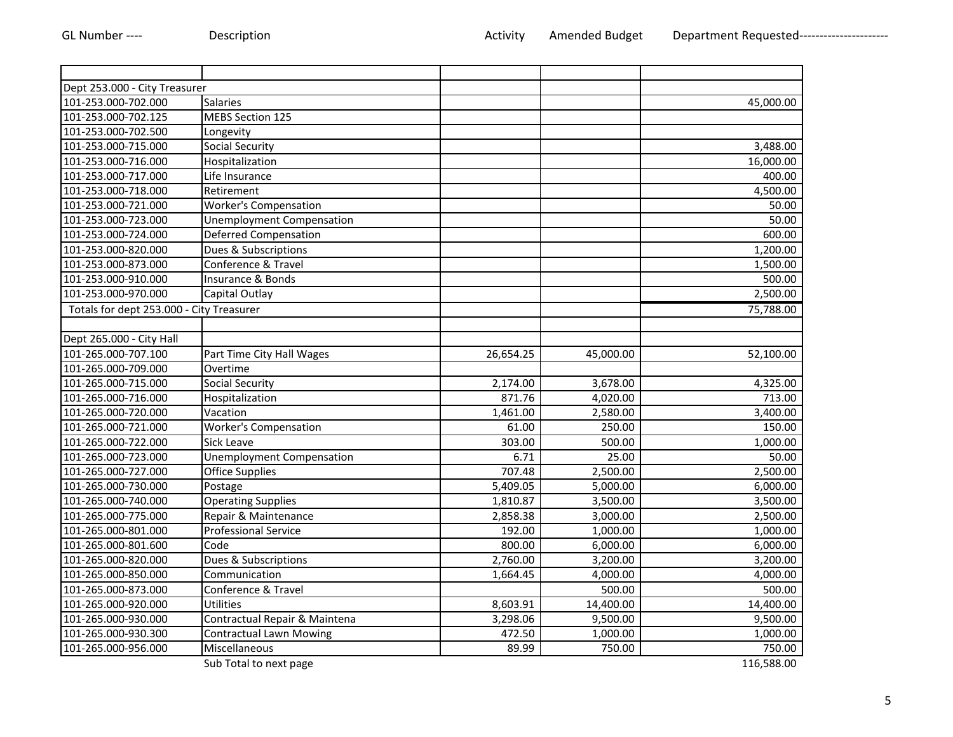| Dept 253.000 - City Treasurer            |                                  |           |           |            |
|------------------------------------------|----------------------------------|-----------|-----------|------------|
| 101-253.000-702.000                      | <b>Salaries</b>                  |           |           | 45,000.00  |
| 101-253.000-702.125                      | <b>MEBS Section 125</b>          |           |           |            |
| 101-253.000-702.500                      | Longevity                        |           |           |            |
| 101-253.000-715.000                      | <b>Social Security</b>           |           |           | 3,488.00   |
| 101-253.000-716.000                      | Hospitalization                  |           |           | 16,000.00  |
| 101-253.000-717.000                      | Life Insurance                   |           |           | 400.00     |
| 101-253.000-718.000                      | Retirement                       |           |           | 4,500.00   |
| 101-253.000-721.000                      | <b>Worker's Compensation</b>     |           |           | 50.00      |
| 101-253.000-723.000                      | <b>Unemployment Compensation</b> |           |           | 50.00      |
| 101-253.000-724.000                      | <b>Deferred Compensation</b>     |           |           | 600.00     |
| 101-253.000-820.000                      | Dues & Subscriptions             |           |           | 1,200.00   |
| 101-253.000-873.000                      | Conference & Travel              |           |           | 1,500.00   |
| 101-253.000-910.000                      | Insurance & Bonds                |           |           | 500.00     |
| 101-253.000-970.000                      | Capital Outlay                   |           |           | 2,500.00   |
| Totals for dept 253.000 - City Treasurer |                                  |           |           | 75,788.00  |
|                                          |                                  |           |           |            |
| Dept 265.000 - City Hall                 |                                  |           |           |            |
| 101-265.000-707.100                      | Part Time City Hall Wages        | 26,654.25 | 45,000.00 | 52,100.00  |
| 101-265.000-709.000                      | Overtime                         |           |           |            |
| 101-265.000-715.000                      | <b>Social Security</b>           | 2,174.00  | 3,678.00  | 4,325.00   |
| 101-265.000-716.000                      | Hospitalization                  | 871.76    | 4,020.00  | 713.00     |
| 101-265.000-720.000                      | Vacation                         | 1,461.00  | 2,580.00  | 3,400.00   |
| 101-265.000-721.000                      | <b>Worker's Compensation</b>     | 61.00     | 250.00    | 150.00     |
| 101-265.000-722.000                      | Sick Leave                       | 303.00    | 500.00    | 1,000.00   |
| 101-265.000-723.000                      | <b>Unemployment Compensation</b> | 6.71      | 25.00     | 50.00      |
| 101-265.000-727.000                      | <b>Office Supplies</b>           | 707.48    | 2,500.00  | 2,500.00   |
| 101-265.000-730.000                      | Postage                          | 5,409.05  | 5,000.00  | 6,000.00   |
| 101-265.000-740.000                      | <b>Operating Supplies</b>        | 1,810.87  | 3,500.00  | 3,500.00   |
| 101-265.000-775.000                      | Repair & Maintenance             | 2,858.38  | 3,000.00  | 2,500.00   |
| 101-265.000-801.000                      | <b>Professional Service</b>      | 192.00    | 1,000.00  | 1,000.00   |
| 101-265.000-801.600                      | Code                             | 800.00    | 6,000.00  | 6,000.00   |
| 101-265.000-820.000                      | Dues & Subscriptions             | 2,760.00  | 3,200.00  | 3,200.00   |
| 101-265.000-850.000                      | Communication                    | 1,664.45  | 4,000.00  | 4,000.00   |
| 101-265.000-873.000                      | Conference & Travel              |           | 500.00    | 500.00     |
| 101-265.000-920.000                      | <b>Utilities</b>                 | 8,603.91  | 14,400.00 | 14,400.00  |
| 101-265.000-930.000                      | Contractual Repair & Maintena    | 3,298.06  | 9,500.00  | 9,500.00   |
| 101-265.000-930.300                      | Contractual Lawn Mowing          | 472.50    | 1,000.00  | 1,000.00   |
| 101-265.000-956.000                      | Miscellaneous                    | 89.99     | 750.00    | 750.00     |
|                                          | Sub Total to next page           |           |           | 116,588.00 |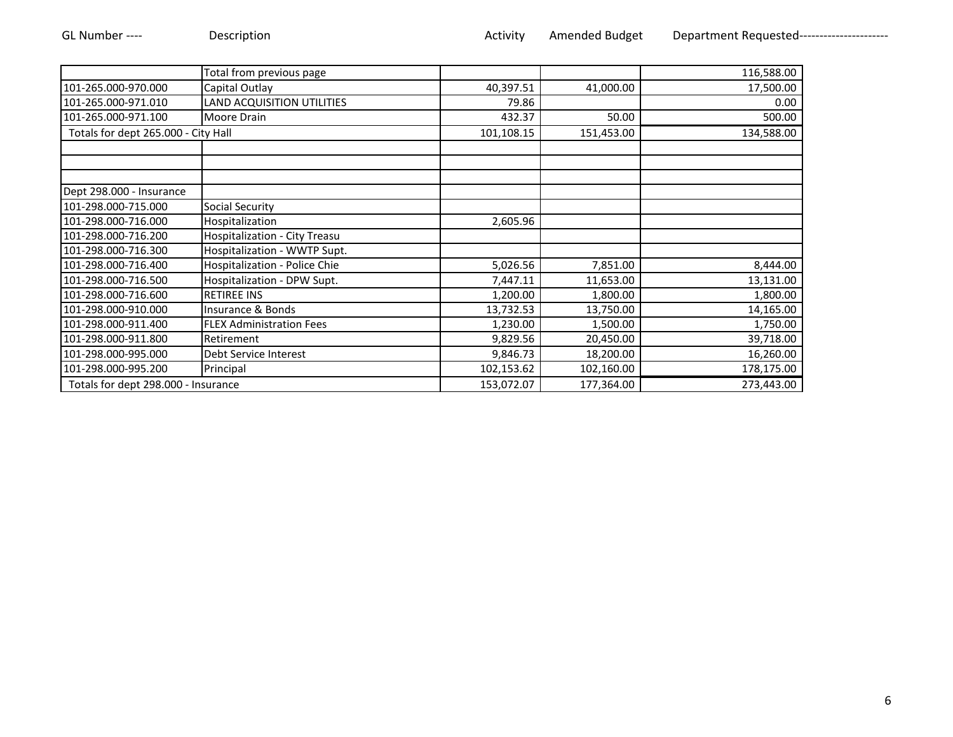|                                     | Total from previous page        |            |            | 116,588.00 |
|-------------------------------------|---------------------------------|------------|------------|------------|
| 101-265.000-970.000                 | Capital Outlay                  | 40,397.51  | 41,000.00  | 17,500.00  |
| 101-265.000-971.010                 | LAND ACQUISITION UTILITIES      | 79.86      |            | 0.00       |
| 101-265.000-971.100                 | Moore Drain                     | 432.37     | 50.00      | 500.00     |
| Totals for dept 265.000 - City Hall |                                 | 101,108.15 | 151,453.00 | 134,588.00 |
|                                     |                                 |            |            |            |
|                                     |                                 |            |            |            |
| Dept 298.000 - Insurance            |                                 |            |            |            |
| 101-298.000-715.000                 | <b>Social Security</b>          |            |            |            |
| 101-298.000-716.000                 | Hospitalization                 | 2,605.96   |            |            |
| 101-298.000-716.200                 | Hospitalization - City Treasu   |            |            |            |
| 101-298.000-716.300                 | Hospitalization - WWTP Supt.    |            |            |            |
| 101-298.000-716.400                 | Hospitalization - Police Chie   | 5,026.56   | 7,851.00   | 8,444.00   |
| 101-298.000-716.500                 | Hospitalization - DPW Supt.     | 7,447.11   | 11,653.00  | 13,131.00  |
| 101-298.000-716.600                 | <b>RETIREE INS</b>              | 1,200.00   | 1,800.00   | 1,800.00   |
| 101-298.000-910.000                 | Insurance & Bonds               | 13,732.53  | 13,750.00  | 14,165.00  |
| 101-298.000-911.400                 | <b>FLEX Administration Fees</b> | 1,230.00   | 1,500.00   | 1,750.00   |
| 101-298.000-911.800                 | Retirement                      | 9,829.56   | 20,450.00  | 39,718.00  |
| 101-298.000-995.000                 | Debt Service Interest           | 9,846.73   | 18,200.00  | 16,260.00  |
| 101-298.000-995.200                 | Principal                       | 102,153.62 | 102,160.00 | 178,175.00 |
| Totals for dept 298.000 - Insurance |                                 | 153,072.07 | 177,364.00 | 273,443.00 |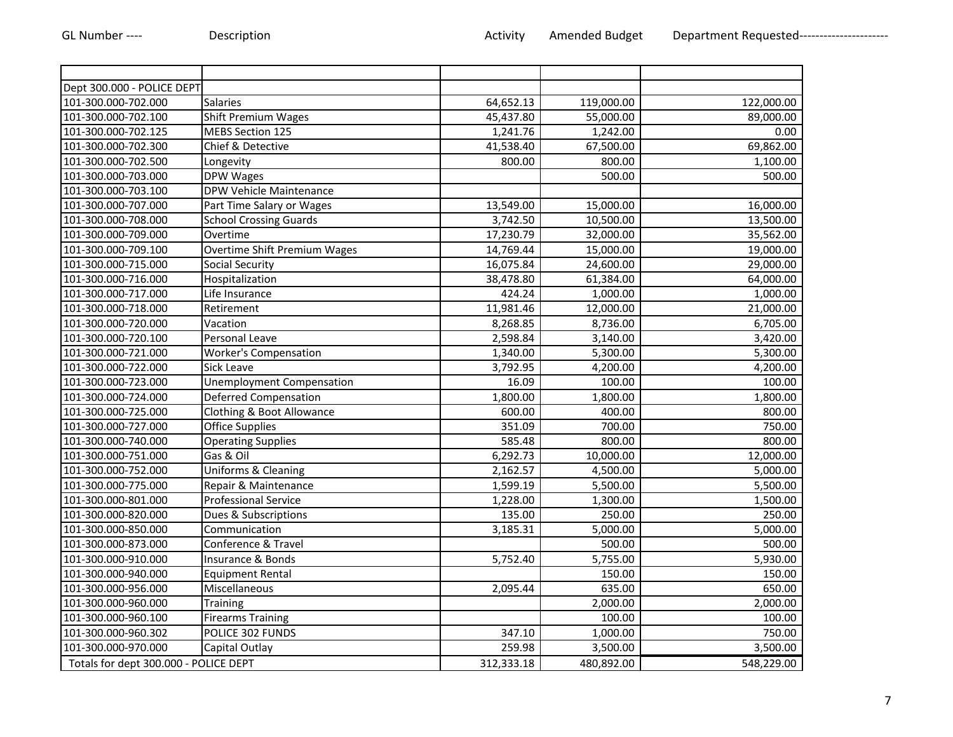| Dept 300.000 - POLICE DEPT            |                                     |            |                       |            |
|---------------------------------------|-------------------------------------|------------|-----------------------|------------|
| 101-300.000-702.000                   | <b>Salaries</b>                     | 64,652.13  | 119,000.00            | 122,000.00 |
| 101-300.000-702.100                   | Shift Premium Wages                 | 45,437.80  | 55,000.00             | 89,000.00  |
| 101-300.000-702.125                   | MEBS Section 125                    | 1,241.76   | 1,242.00              | 0.00       |
| 101-300.000-702.300                   | Chief & Detective                   | 41,538.40  | 67,500.00             | 69,862.00  |
| 101-300.000-702.500                   | Longevity                           | 800.00     | 800.00                | 1,100.00   |
| 101-300.000-703.000                   | DPW Wages                           |            | 500.00                | 500.00     |
| 101-300.000-703.100                   | DPW Vehicle Maintenance             |            |                       |            |
| 101-300.000-707.000                   | Part Time Salary or Wages           | 13,549.00  | 15,000.00             | 16,000.00  |
| 101-300.000-708.000                   | <b>School Crossing Guards</b>       | 3,742.50   | 10,500.00             | 13,500.00  |
| 101-300.000-709.000                   | Overtime                            | 17,230.79  | 32,000.00             | 35,562.00  |
| 101-300.000-709.100                   | <b>Overtime Shift Premium Wages</b> | 14,769.44  | 15,000.00             | 19,000.00  |
| 101-300.000-715.000                   | <b>Social Security</b>              | 16,075.84  | 24,600.00             | 29,000.00  |
| 101-300.000-716.000                   | Hospitalization                     | 38,478.80  | 61,384.00             | 64,000.00  |
| 101-300.000-717.000                   | Life Insurance                      | 424.24     | 1,000.00              | 1,000.00   |
| 101-300.000-718.000                   | Retirement                          | 11,981.46  | 12,000.00             | 21,000.00  |
| 101-300.000-720.000                   | Vacation                            | 8,268.85   | 8,736.00              | 6,705.00   |
| 101-300.000-720.100                   | Personal Leave                      | 2,598.84   | 3,140.00              | 3,420.00   |
| 101-300.000-721.000                   | <b>Worker's Compensation</b>        | 1,340.00   | 5,300.00              | 5,300.00   |
| 101-300.000-722.000                   | Sick Leave                          | 3,792.95   | 4,200.00              | 4,200.00   |
| 101-300.000-723.000                   | Unemployment Compensation           | 16.09      | 100.00                | 100.00     |
| 101-300.000-724.000                   | Deferred Compensation               | 1,800.00   | 1,800.00              | 1,800.00   |
| 101-300.000-725.000                   | Clothing & Boot Allowance           | 600.00     | 400.00                | 800.00     |
| 101-300.000-727.000                   | <b>Office Supplies</b>              | 351.09     | 700.00                | 750.00     |
| 101-300.000-740.000                   | <b>Operating Supplies</b>           | 585.48     | 800.00                | 800.00     |
| 101-300.000-751.000                   | Gas & Oil                           | 6,292.73   | 10,000.00             | 12,000.00  |
| 101-300.000-752.000                   | Uniforms & Cleaning                 | 2,162.57   | 4,500.00              | 5,000.00   |
| 101-300.000-775.000                   | Repair & Maintenance                | 1,599.19   | 5,500.00              | 5,500.00   |
| 101-300.000-801.000                   | <b>Professional Service</b>         | 1,228.00   | 1,300.00              | 1,500.00   |
| 101-300.000-820.000                   | Dues & Subscriptions                | 135.00     | 250.00                | 250.00     |
| 101-300.000-850.000                   | Communication                       | 3,185.31   | $\overline{5,000.00}$ | 5,000.00   |
| 101-300.000-873.000                   | Conference & Travel                 |            | 500.00                | 500.00     |
| 101-300.000-910.000                   | Insurance & Bonds                   | 5,752.40   | 5,755.00              | 5,930.00   |
| 101-300.000-940.000                   | <b>Equipment Rental</b>             |            | 150.00                | 150.00     |
| 101-300.000-956.000                   | Miscellaneous                       | 2,095.44   | 635.00                | 650.00     |
| 101-300.000-960.000                   | Training                            |            | 2,000.00              | 2,000.00   |
| 101-300.000-960.100                   | <b>Firearms Training</b>            |            | 100.00                | 100.00     |
| 101-300.000-960.302                   | POLICE 302 FUNDS                    | 347.10     | 1,000.00              | 750.00     |
| 101-300.000-970.000                   | Capital Outlay                      | 259.98     | 3,500.00              | 3,500.00   |
| Totals for dept 300.000 - POLICE DEPT |                                     | 312,333.18 | 480,892.00            | 548,229.00 |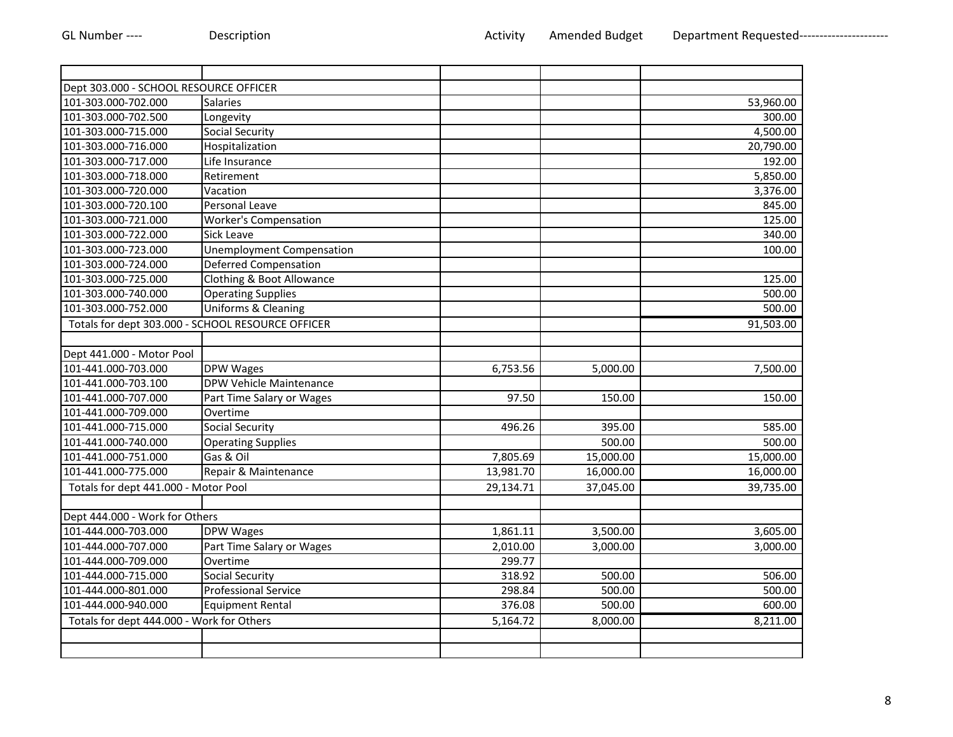| Dept 303.000 - SCHOOL RESOURCE OFFICER            |                                  |           |           |           |
|---------------------------------------------------|----------------------------------|-----------|-----------|-----------|
| 101-303.000-702.000                               | <b>Salaries</b>                  |           |           | 53,960.00 |
| 101-303.000-702.500                               | Longevity                        |           |           | 300.00    |
| 101-303.000-715.000                               | <b>Social Security</b>           |           |           | 4,500.00  |
| 101-303.000-716.000                               | Hospitalization                  |           |           | 20,790.00 |
| 101-303.000-717.000                               | Life Insurance                   |           |           | 192.00    |
| 101-303.000-718.000                               | Retirement                       |           |           | 5,850.00  |
| 101-303.000-720.000                               | Vacation                         |           |           | 3,376.00  |
| 101-303.000-720.100                               | Personal Leave                   |           |           | 845.00    |
| 101-303.000-721.000                               | <b>Worker's Compensation</b>     |           |           | 125.00    |
| 101-303.000-722.000                               | Sick Leave                       |           |           | 340.00    |
| 101-303.000-723.000                               | <b>Unemployment Compensation</b> |           |           | 100.00    |
| 101-303.000-724.000                               | <b>Deferred Compensation</b>     |           |           |           |
| 101-303.000-725.000                               | Clothing & Boot Allowance        |           |           | 125.00    |
| 101-303.000-740.000                               | <b>Operating Supplies</b>        |           |           | 500.00    |
| 101-303.000-752.000                               | Uniforms & Cleaning              |           |           | 500.00    |
| Totals for dept 303.000 - SCHOOL RESOURCE OFFICER |                                  |           |           | 91,503.00 |
|                                                   |                                  |           |           |           |
| Dept 441.000 - Motor Pool                         |                                  |           |           |           |
| 101-441.000-703.000                               | <b>DPW Wages</b>                 | 6,753.56  | 5,000.00  | 7,500.00  |
| 101-441.000-703.100                               | DPW Vehicle Maintenance          |           |           |           |
| 101-441.000-707.000                               | Part Time Salary or Wages        | 97.50     | 150.00    | 150.00    |
| 101-441.000-709.000                               | Overtime                         |           |           |           |
| 101-441.000-715.000                               | <b>Social Security</b>           | 496.26    | 395.00    | 585.00    |
| 101-441.000-740.000                               | <b>Operating Supplies</b>        |           | 500.00    | 500.00    |
| 101-441.000-751.000                               | Gas & Oil                        | 7,805.69  | 15,000.00 | 15,000.00 |
| 101-441.000-775.000                               | Repair & Maintenance             | 13,981.70 | 16,000.00 | 16,000.00 |
| Totals for dept 441.000 - Motor Pool              |                                  | 29,134.71 | 37,045.00 | 39,735.00 |
|                                                   |                                  |           |           |           |
| Dept 444.000 - Work for Others                    |                                  |           |           |           |
| 101-444.000-703.000                               | DPW Wages                        | 1,861.11  | 3,500.00  | 3,605.00  |
| 101-444.000-707.000                               | Part Time Salary or Wages        | 2,010.00  | 3,000.00  | 3,000.00  |
| 101-444.000-709.000                               | Overtime                         | 299.77    |           |           |
| 101-444.000-715.000                               | <b>Social Security</b>           | 318.92    | 500.00    | 506.00    |
| 101-444.000-801.000                               | <b>Professional Service</b>      | 298.84    | 500.00    | 500.00    |
| 101-444.000-940.000                               | <b>Equipment Rental</b>          | 376.08    | 500.00    | 600.00    |
| Totals for dept 444.000 - Work for Others         |                                  | 5,164.72  | 8,000.00  | 8,211.00  |
|                                                   |                                  |           |           |           |
|                                                   |                                  |           |           |           |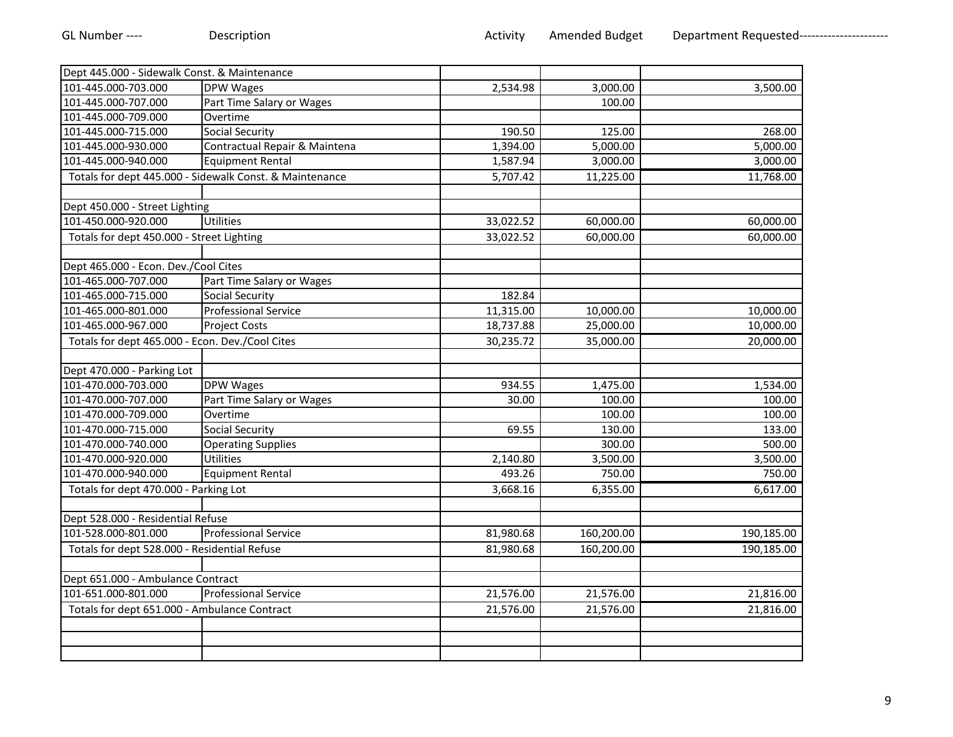| Dept 445.000 - Sidewalk Const. & Maintenance    |                                                         |           |            |            |
|-------------------------------------------------|---------------------------------------------------------|-----------|------------|------------|
| 101-445.000-703.000                             | <b>DPW Wages</b>                                        | 2,534.98  | 3,000.00   | 3,500.00   |
| 101-445.000-707.000                             | Part Time Salary or Wages                               |           | 100.00     |            |
| 101-445.000-709.000                             | Overtime                                                |           |            |            |
| 101-445.000-715.000                             | <b>Social Security</b>                                  | 190.50    | 125.00     | 268.00     |
| 101-445.000-930.000                             | Contractual Repair & Maintena                           | 1,394.00  | 5,000.00   | 5,000.00   |
| 101-445.000-940.000                             | <b>Equipment Rental</b>                                 | 1,587.94  | 3,000.00   | 3,000.00   |
|                                                 | Totals for dept 445.000 - Sidewalk Const. & Maintenance | 5,707.42  | 11,225.00  | 11,768.00  |
|                                                 |                                                         |           |            |            |
| Dept 450.000 - Street Lighting                  |                                                         |           |            |            |
| 101-450.000-920.000                             | Utilities                                               | 33,022.52 | 60,000.00  | 60,000.00  |
| Totals for dept 450.000 - Street Lighting       |                                                         | 33,022.52 | 60,000.00  | 60,000.00  |
|                                                 |                                                         |           |            |            |
| Dept 465.000 - Econ. Dev./Cool Cites            |                                                         |           |            |            |
| 101-465.000-707.000                             | Part Time Salary or Wages                               |           |            |            |
| 101-465.000-715.000                             | <b>Social Security</b>                                  | 182.84    |            |            |
| 101-465.000-801.000                             | <b>Professional Service</b>                             | 11,315.00 | 10,000.00  | 10,000.00  |
| 101-465.000-967.000                             | <b>Project Costs</b>                                    | 18,737.88 | 25,000.00  | 10,000.00  |
| Totals for dept 465.000 - Econ. Dev./Cool Cites |                                                         | 30,235.72 | 35,000.00  | 20,000.00  |
|                                                 |                                                         |           |            |            |
| Dept 470.000 - Parking Lot                      |                                                         |           |            |            |
| 101-470.000-703.000                             | DPW Wages                                               | 934.55    | 1,475.00   | 1,534.00   |
| 101-470.000-707.000                             | Part Time Salary or Wages                               | 30.00     | 100.00     | 100.00     |
| 101-470.000-709.000                             | Overtime                                                |           | 100.00     | 100.00     |
| 101-470.000-715.000                             | <b>Social Security</b>                                  | 69.55     | 130.00     | 133.00     |
| 101-470.000-740.000                             | <b>Operating Supplies</b>                               |           | 300.00     | 500.00     |
| 101-470.000-920.000                             | Utilities                                               | 2,140.80  | 3,500.00   | 3,500.00   |
| 101-470.000-940.000                             | <b>Equipment Rental</b>                                 | 493.26    | 750.00     | 750.00     |
| Totals for dept 470.000 - Parking Lot           |                                                         | 3,668.16  | 6,355.00   | 6,617.00   |
|                                                 |                                                         |           |            |            |
| Dept 528.000 - Residential Refuse               |                                                         |           |            |            |
| 101-528.000-801.000                             | <b>Professional Service</b>                             | 81,980.68 | 160,200.00 | 190,185.00 |
| Totals for dept 528.000 - Residential Refuse    |                                                         | 81,980.68 | 160,200.00 | 190,185.00 |
|                                                 |                                                         |           |            |            |
| Dept 651.000 - Ambulance Contract               |                                                         |           |            |            |
| 101-651.000-801.000                             | <b>Professional Service</b>                             | 21,576.00 | 21,576.00  | 21,816.00  |
| Totals for dept 651.000 - Ambulance Contract    |                                                         | 21,576.00 | 21,576.00  | 21,816.00  |
|                                                 |                                                         |           |            |            |
|                                                 |                                                         |           |            |            |
|                                                 |                                                         |           |            |            |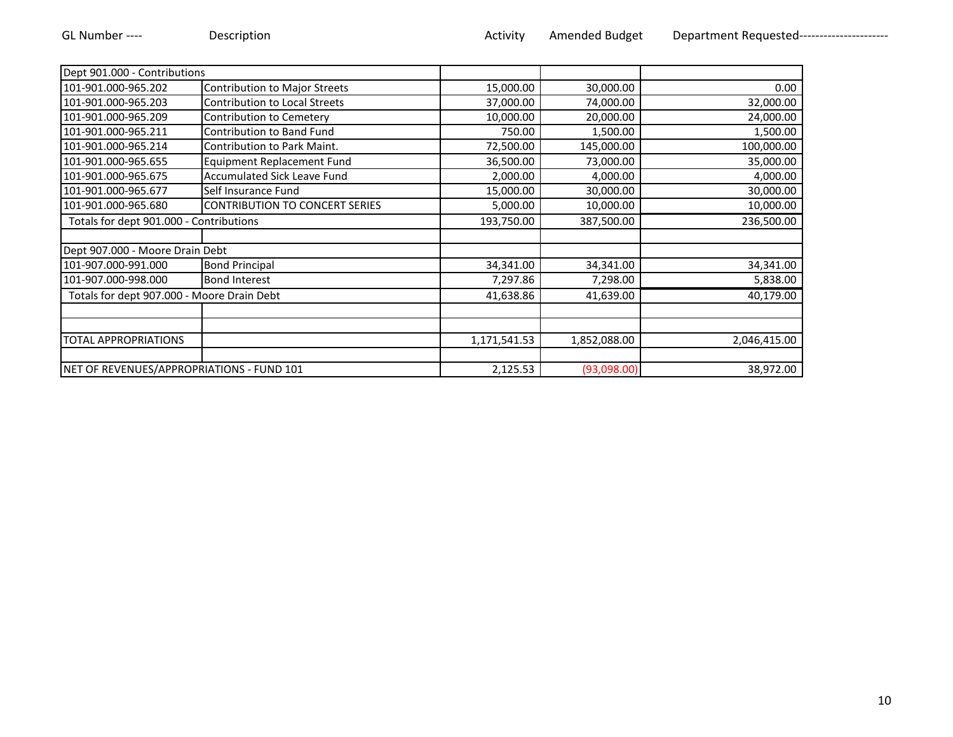| Dept 901.000 - Contributions               |                                         |              |              |              |
|--------------------------------------------|-----------------------------------------|--------------|--------------|--------------|
| 101-901.000-965.202                        | <b>Contribution to Major Streets</b>    | 15,000.00    | 30,000.00    | 0.00         |
| 101-901.000-965.203                        | <b>Contribution to Local Streets</b>    | 37,000.00    | 74,000.00    | 32,000.00    |
| 101-901.000-965.209                        | Contribution to Cemetery                | 10,000.00    | 20,000.00    | 24,000.00    |
| 101-901.000-965.211                        | Contribution to Band Fund               | 750.00       | 1,500.00     | 1,500.00     |
| 101-901.000-965.214                        | Contribution to Park Maint.             | 72,500.00    | 145,000.00   | 100,000.00   |
| 101-901.000-965.655                        | <b>Equipment Replacement Fund</b>       | 36,500.00    | 73,000.00    | 35,000.00    |
| 101-901.000-965.675                        | Accumulated Sick Leave Fund             | 2,000.00     | 4,000.00     | 4,000.00     |
| 101-901.000-965.677                        | Self Insurance Fund                     | 15,000.00    | 30,000.00    | 30,000.00    |
| 101-901.000-965.680                        | <b>CONTRIBUTION TO CONCERT SERIES</b>   | 5,000.00     | 10,000.00    | 10,000.00    |
|                                            | Totals for dept 901.000 - Contributions |              | 387,500.00   | 236,500.00   |
| Dept 907.000 - Moore Drain Debt            |                                         |              |              |              |
| 101-907.000-991.000                        | <b>Bond Principal</b>                   | 34,341.00    | 34,341.00    | 34,341.00    |
| 101-907.000-998.000                        | <b>Bond Interest</b>                    | 7,297.86     | 7,298.00     | 5,838.00     |
| Totals for dept 907.000 - Moore Drain Debt |                                         | 41,638.86    | 41,639.00    | 40,179.00    |
|                                            |                                         |              |              |              |
| <b>TOTAL APPROPRIATIONS</b>                |                                         | 1,171,541.53 | 1,852,088.00 | 2,046,415.00 |
|                                            |                                         |              |              |              |
| NET OF REVENUES/APPROPRIATIONS - FUND 101  |                                         | 2,125.53     | (93,098.00)  | 38,972.00    |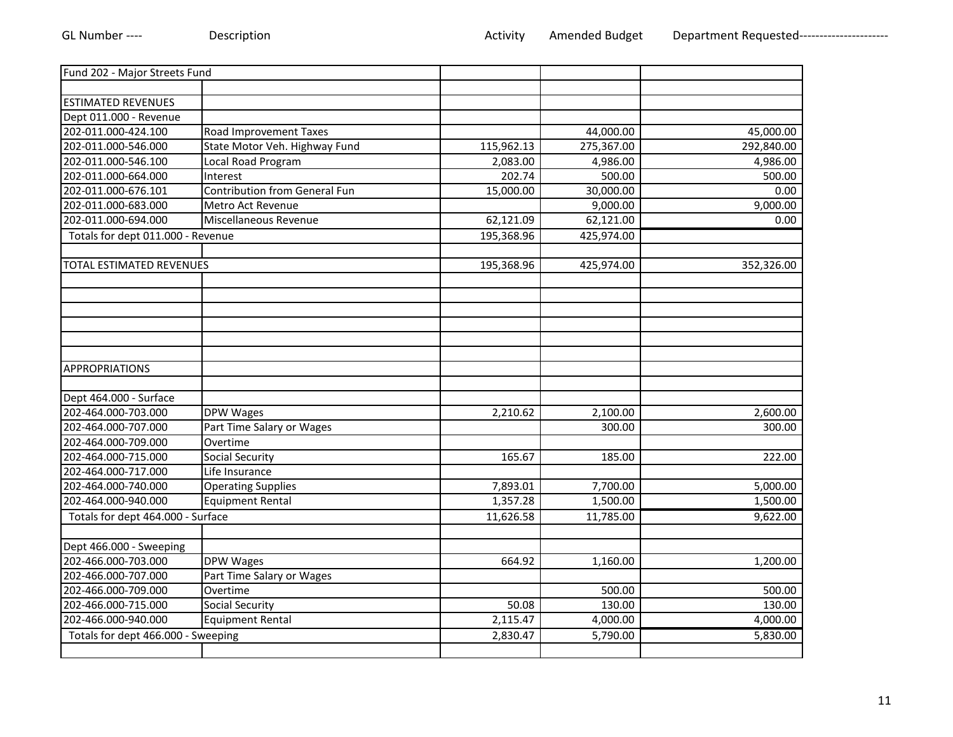| Fund 202 - Major Streets Fund      |                                      |            |                        |            |
|------------------------------------|--------------------------------------|------------|------------------------|------------|
|                                    |                                      |            |                        |            |
| <b>ESTIMATED REVENUES</b>          |                                      |            |                        |            |
| Dept 011.000 - Revenue             |                                      |            |                        |            |
| 202-011.000-424.100                | Road Improvement Taxes               |            | 44,000.00              | 45,000.00  |
| 202-011.000-546.000                | State Motor Veh. Highway Fund        | 115,962.13 | 275,367.00             | 292,840.00 |
| 202-011.000-546.100                | Local Road Program                   | 2,083.00   | 4,986.00               | 4,986.00   |
| 202-011.000-664.000                | Interest                             | 202.74     | 500.00                 | 500.00     |
| 202-011.000-676.101                | <b>Contribution from General Fun</b> | 15,000.00  | 30,000.00              | 0.00       |
| 202-011.000-683.000                | Metro Act Revenue                    |            | 9,000.00               | 9,000.00   |
| 202-011.000-694.000                | Miscellaneous Revenue                | 62,121.09  | 62,121.00              | 0.00       |
| Totals for dept 011.000 - Revenue  |                                      | 195,368.96 | 425,974.00             |            |
|                                    |                                      |            |                        |            |
| TOTAL ESTIMATED REVENUES           |                                      | 195,368.96 | 425,974.00             | 352,326.00 |
|                                    |                                      |            |                        |            |
|                                    |                                      |            |                        |            |
|                                    |                                      |            |                        |            |
|                                    |                                      |            |                        |            |
| <b>APPROPRIATIONS</b>              |                                      |            |                        |            |
| Dept 464.000 - Surface             |                                      |            |                        |            |
| 202-464.000-703.000                | DPW Wages                            | 2,210.62   | $\overline{2}$ ,100.00 | 2,600.00   |
| 202-464.000-707.000                | Part Time Salary or Wages            |            | 300.00                 | 300.00     |
| 202-464.000-709.000                | Overtime                             |            |                        |            |
| 202-464.000-715.000                | <b>Social Security</b>               | 165.67     | 185.00                 | 222.00     |
| 202-464.000-717.000                | Life Insurance                       |            |                        |            |
| 202-464.000-740.000                | <b>Operating Supplies</b>            | 7,893.01   | 7,700.00               | 5,000.00   |
| 202-464.000-940.000                | <b>Equipment Rental</b>              | 1,357.28   | 1,500.00               | 1,500.00   |
| Totals for dept 464.000 - Surface  |                                      | 11,626.58  | 11,785.00              | 9,622.00   |
| Dept 466.000 - Sweeping            |                                      |            |                        |            |
| 202-466.000-703.000                | DPW Wages                            | 664.92     | 1,160.00               | 1,200.00   |
| 202-466.000-707.000                | Part Time Salary or Wages            |            |                        |            |
| 202-466.000-709.000                | Overtime                             |            | 500.00                 | 500.00     |
| 202-466.000-715.000                | Social Security                      | 50.08      | 130.00                 | 130.00     |
| 202-466.000-940.000                | <b>Equipment Rental</b>              | 2,115.47   | 4,000.00               | 4,000.00   |
| Totals for dept 466.000 - Sweeping |                                      | 2,830.47   | 5,790.00               | 5,830.00   |
|                                    |                                      |            |                        |            |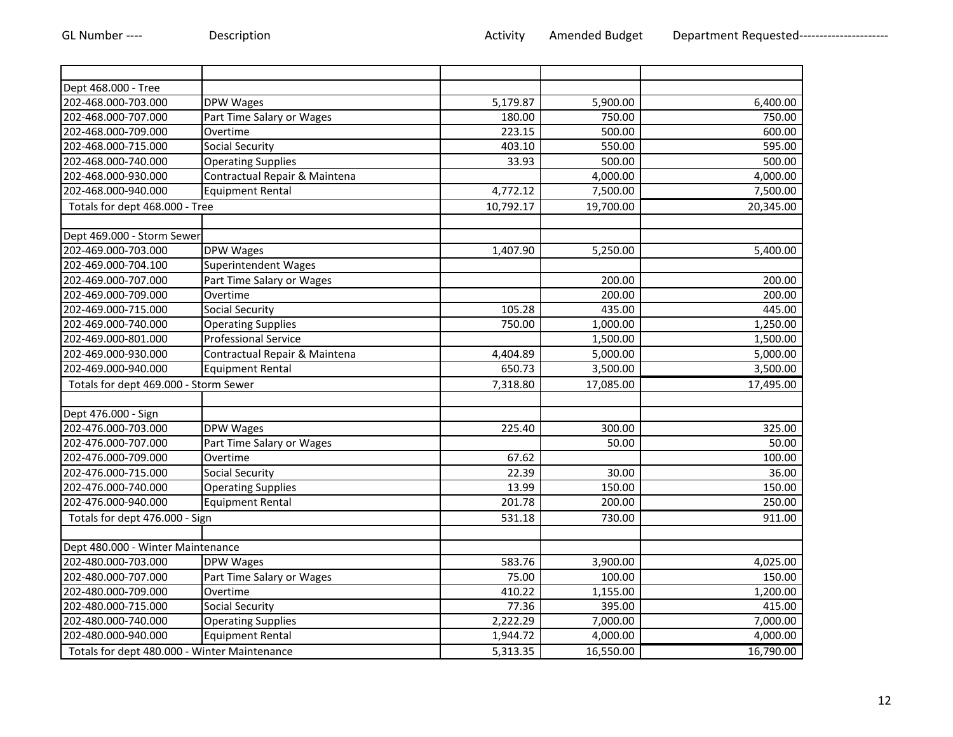| Dept 468.000 - Tree                          |                               |                       |           |           |
|----------------------------------------------|-------------------------------|-----------------------|-----------|-----------|
| 202-468.000-703.000                          | DPW Wages                     | 5,179.87              | 5,900.00  | 6,400.00  |
| 202-468.000-707.000                          | Part Time Salary or Wages     | 180.00                | 750.00    | 750.00    |
| 202-468.000-709.000                          | Overtime                      | 223.15                | 500.00    | 600.00    |
| 202-468.000-715.000                          | <b>Social Security</b>        | 403.10                | 550.00    | 595.00    |
| 202-468.000-740.000                          | <b>Operating Supplies</b>     | 33.93                 | 500.00    | 500.00    |
| 202-468.000-930.000                          | Contractual Repair & Maintena |                       | 4,000.00  | 4,000.00  |
| 202-468.000-940.000                          | <b>Equipment Rental</b>       | 4,772.12              | 7,500.00  | 7,500.00  |
| Totals for dept 468.000 - Tree               |                               | 10,792.17             | 19,700.00 | 20,345.00 |
| Dept 469.000 - Storm Sewer                   |                               |                       |           |           |
|                                              |                               |                       |           |           |
| 202-469.000-703.000                          | <b>DPW Wages</b>              | 1,407.90              | 5,250.00  | 5,400.00  |
| 202-469.000-704.100                          | Superintendent Wages          |                       |           |           |
| 202-469.000-707.000                          | Part Time Salary or Wages     |                       | 200.00    | 200.00    |
| 202-469.000-709.000                          | Overtime                      |                       | 200.00    | 200.00    |
| 202-469.000-715.000                          | Social Security               | 105.28                | 435.00    | 445.00    |
| 202-469.000-740.000                          | <b>Operating Supplies</b>     | 750.00                | 1,000.00  | 1,250.00  |
| 202-469.000-801.000                          | <b>Professional Service</b>   |                       | 1,500.00  | 1,500.00  |
| 202-469.000-930.000                          | Contractual Repair & Maintena | 4,404.89              | 5,000.00  | 5,000.00  |
| 202-469.000-940.000                          | <b>Equipment Rental</b>       | 650.73                | 3,500.00  | 3,500.00  |
| Totals for dept 469.000 - Storm Sewer        |                               | 7,318.80              | 17,085.00 | 17,495.00 |
|                                              |                               |                       |           |           |
| Dept 476.000 - Sign                          |                               |                       |           |           |
| 202-476.000-703.000                          | DPW Wages                     | 225.40                | 300.00    | 325.00    |
| 202-476.000-707.000                          | Part Time Salary or Wages     |                       | 50.00     | 50.00     |
| 202-476.000-709.000                          | Overtime                      | 67.62                 |           | 100.00    |
| 202-476.000-715.000                          | <b>Social Security</b>        | 22.39                 | 30.00     | 36.00     |
| 202-476.000-740.000                          | <b>Operating Supplies</b>     | 13.99                 | 150.00    | 150.00    |
| 202-476.000-940.000                          | <b>Equipment Rental</b>       | 201.78                | 200.00    | 250.00    |
| Totals for dept 476.000 - Sign               |                               | 531.18                | 730.00    | 911.00    |
|                                              |                               |                       |           |           |
| Dept 480.000 - Winter Maintenance            |                               |                       |           |           |
| 202-480.000-703.000                          | <b>DPW</b> Wages              | 583.76                | 3,900.00  | 4,025.00  |
| 202-480.000-707.000                          | Part Time Salary or Wages     | 75.00                 | 100.00    | 150.00    |
| 202-480.000-709.000                          | Overtime                      | 410.22                | 1,155.00  | 1,200.00  |
| 202-480.000-715.000                          | <b>Social Security</b>        | 77.36                 | 395.00    | 415.00    |
| 202-480.000-740.000                          | <b>Operating Supplies</b>     | 2,222.29              | 7,000.00  | 7,000.00  |
| 202-480.000-940.000                          | <b>Equipment Rental</b>       | 1,944.72              | 4,000.00  | 4,000.00  |
| Totals for dept 480.000 - Winter Maintenance |                               | $\overline{5,}313.35$ | 16,550.00 | 16,790.00 |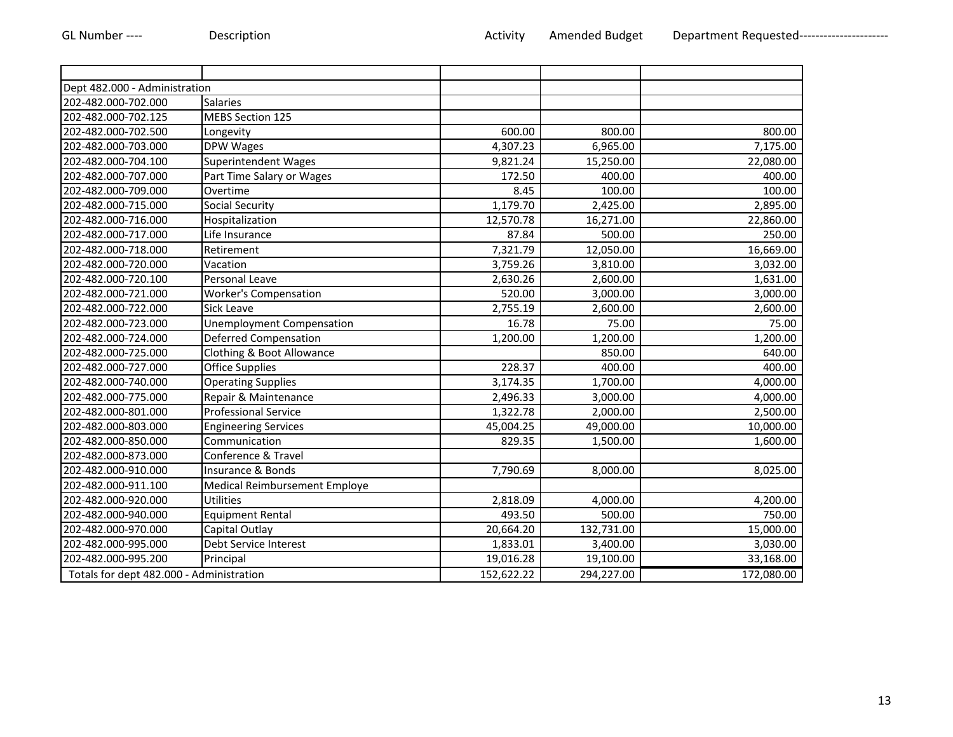| Dept 482.000 - Administration            |                               |            |            |            |
|------------------------------------------|-------------------------------|------------|------------|------------|
| 202-482.000-702.000                      | <b>Salaries</b>               |            |            |            |
| 202-482.000-702.125                      | <b>MEBS Section 125</b>       |            |            |            |
| 202-482.000-702.500                      | Longevity                     | 600.00     | 800.00     | 800.00     |
| 202-482.000-703.000                      | DPW Wages                     | 4,307.23   | 6,965.00   | 7,175.00   |
| 202-482.000-704.100                      | <b>Superintendent Wages</b>   | 9,821.24   | 15,250.00  | 22,080.00  |
| 202-482.000-707.000                      | Part Time Salary or Wages     | 172.50     | 400.00     | 400.00     |
| 202-482.000-709.000                      | Overtime                      | 8.45       | 100.00     | 100.00     |
| 202-482.000-715.000                      | <b>Social Security</b>        | 1,179.70   | 2,425.00   | 2,895.00   |
| 202-482.000-716.000                      | Hospitalization               | 12,570.78  | 16,271.00  | 22,860.00  |
| 202-482.000-717.000                      | Life Insurance                | 87.84      | 500.00     | 250.00     |
| 202-482.000-718.000                      | Retirement                    | 7,321.79   | 12,050.00  | 16,669.00  |
| 202-482.000-720.000                      | Vacation                      | 3,759.26   | 3,810.00   | 3,032.00   |
| 202-482.000-720.100                      | Personal Leave                | 2,630.26   | 2,600.00   | 1,631.00   |
| 202-482.000-721.000                      | <b>Worker's Compensation</b>  | 520.00     | 3,000.00   | 3,000.00   |
| 202-482.000-722.000                      | Sick Leave                    | 2,755.19   | 2,600.00   | 2,600.00   |
| 202-482.000-723.000                      | Unemployment Compensation     | 16.78      | 75.00      | 75.00      |
| 202-482.000-724.000                      | <b>Deferred Compensation</b>  | 1,200.00   | 1,200.00   | 1,200.00   |
| 202-482.000-725.000                      | Clothing & Boot Allowance     |            | 850.00     | 640.00     |
| 202-482.000-727.000                      | <b>Office Supplies</b>        | 228.37     | 400.00     | 400.00     |
| 202-482.000-740.000                      | <b>Operating Supplies</b>     | 3,174.35   | 1,700.00   | 4,000.00   |
| 202-482.000-775.000                      | Repair & Maintenance          | 2,496.33   | 3,000.00   | 4,000.00   |
| 202-482.000-801.000                      | <b>Professional Service</b>   | 1,322.78   | 2,000.00   | 2,500.00   |
| 202-482.000-803.000                      | <b>Engineering Services</b>   | 45,004.25  | 49,000.00  | 10,000.00  |
| 202-482.000-850.000                      | Communication                 | 829.35     | 1,500.00   | 1,600.00   |
| 202-482.000-873.000                      | Conference & Travel           |            |            |            |
| 202-482.000-910.000                      | Insurance & Bonds             | 7,790.69   | 8,000.00   | 8,025.00   |
| 202-482.000-911.100                      | Medical Reimbursement Employe |            |            |            |
| 202-482.000-920.000                      | <b>Utilities</b>              | 2,818.09   | 4,000.00   | 4,200.00   |
| 202-482.000-940.000                      | <b>Equipment Rental</b>       | 493.50     | 500.00     | 750.00     |
| 202-482.000-970.000                      | Capital Outlay                | 20,664.20  | 132,731.00 | 15,000.00  |
| 202-482.000-995.000                      | Debt Service Interest         | 1,833.01   | 3,400.00   | 3,030.00   |
| 202-482.000-995.200                      | Principal                     | 19,016.28  | 19,100.00  | 33,168.00  |
| Totals for dept 482.000 - Administration |                               | 152,622.22 | 294,227.00 | 172,080.00 |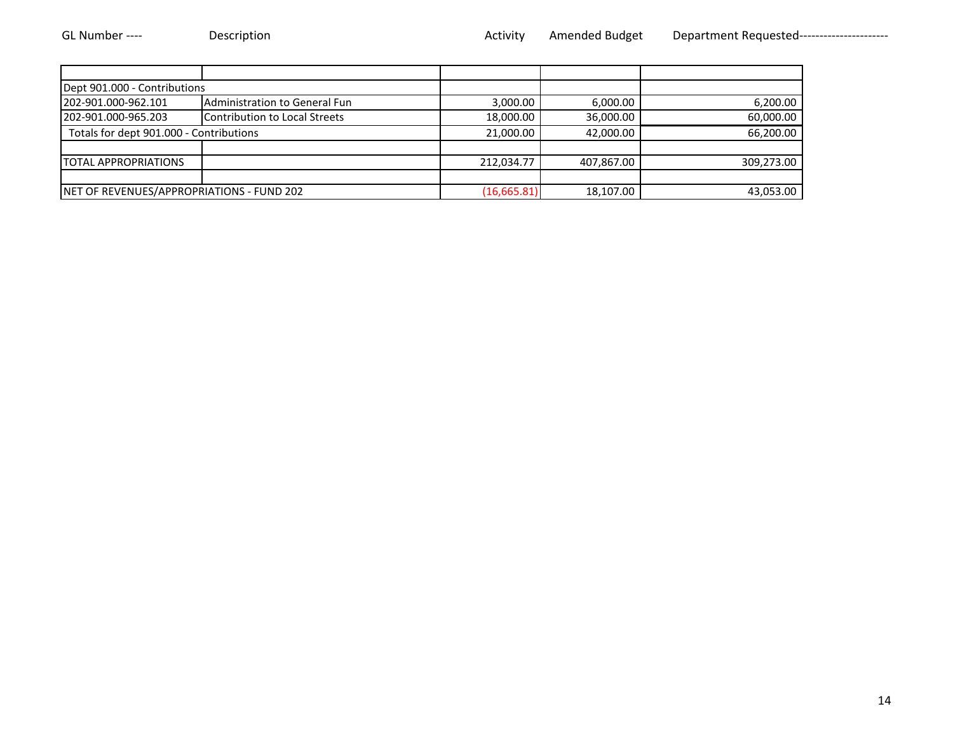| Dept 901.000 - Contributions              |                               |              |            |            |
|-------------------------------------------|-------------------------------|--------------|------------|------------|
| 202-901.000-962.101                       | Administration to General Fun | 3,000.00     | 6,000.00   | 6,200.00   |
| 202-901.000-965.203                       | Contribution to Local Streets | 18,000.00    | 36,000.00  | 60,000.00  |
| Totals for dept 901.000 - Contributions   |                               | 21,000.00    | 42,000.00  | 66,200.00  |
|                                           |                               |              |            |            |
| <b>TOTAL APPROPRIATIONS</b>               |                               | 212,034.77   | 407,867.00 | 309,273.00 |
|                                           |                               |              |            |            |
| NET OF REVENUES/APPROPRIATIONS - FUND 202 |                               | (16, 665.81) | 18,107.00  | 43,053.00  |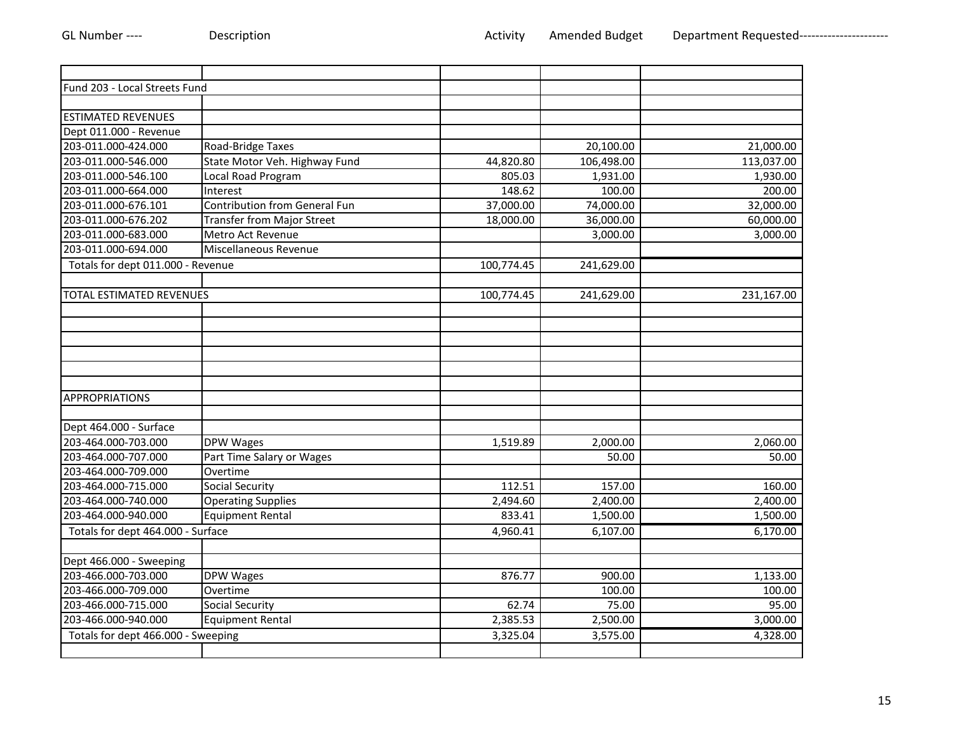| Fund 203 - Local Streets Fund      |                                      |            |            |            |
|------------------------------------|--------------------------------------|------------|------------|------------|
|                                    |                                      |            |            |            |
| <b>ESTIMATED REVENUES</b>          |                                      |            |            |            |
| Dept 011.000 - Revenue             |                                      |            |            |            |
| 203-011.000-424.000                | Road-Bridge Taxes                    |            | 20,100.00  | 21,000.00  |
| 203-011.000-546.000                | State Motor Veh. Highway Fund        | 44,820.80  | 106,498.00 | 113,037.00 |
| 203-011.000-546.100                | Local Road Program                   | 805.03     | 1,931.00   | 1,930.00   |
| 203-011.000-664.000                | Interest                             | 148.62     | 100.00     | 200.00     |
| 203-011.000-676.101                | <b>Contribution from General Fun</b> | 37,000.00  | 74,000.00  | 32,000.00  |
| 203-011.000-676.202                | <b>Transfer from Major Street</b>    | 18,000.00  | 36,000.00  | 60,000.00  |
| 203-011.000-683.000                | Metro Act Revenue                    |            | 3,000.00   | 3,000.00   |
| 203-011.000-694.000                | Miscellaneous Revenue                |            |            |            |
| Totals for dept 011.000 - Revenue  |                                      | 100,774.45 | 241,629.00 |            |
|                                    |                                      |            |            |            |
| <b>TOTAL ESTIMATED REVENUES</b>    |                                      | 100,774.45 | 241,629.00 | 231,167.00 |
|                                    |                                      |            |            |            |
|                                    |                                      |            |            |            |
|                                    |                                      |            |            |            |
|                                    |                                      |            |            |            |
|                                    |                                      |            |            |            |
|                                    |                                      |            |            |            |
| <b>APPROPRIATIONS</b>              |                                      |            |            |            |
|                                    |                                      |            |            |            |
| Dept 464.000 - Surface             |                                      |            |            |            |
| 203-464.000-703.000                | DPW Wages                            | 1,519.89   | 2,000.00   | 2,060.00   |
| 203-464.000-707.000                | Part Time Salary or Wages            |            | 50.00      | 50.00      |
| 203-464.000-709.000                | Overtime                             |            |            |            |
| 203-464.000-715.000                | <b>Social Security</b>               | 112.51     | 157.00     | 160.00     |
| 203-464.000-740.000                | <b>Operating Supplies</b>            | 2,494.60   | 2,400.00   | 2,400.00   |
| 203-464.000-940.000                | <b>Equipment Rental</b>              | 833.41     | 1,500.00   | 1,500.00   |
| Totals for dept 464.000 - Surface  |                                      | 4,960.41   | 6,107.00   | 6,170.00   |
|                                    |                                      |            |            |            |
| Dept 466.000 - Sweeping            |                                      |            |            |            |
| 203-466.000-703.000                | DPW Wages                            | 876.77     | 900.00     | 1,133.00   |
| 203-466.000-709.000                | Overtime                             |            | 100.00     | 100.00     |
| 203-466.000-715.000                | Social Security                      | 62.74      | 75.00      | 95.00      |
| 203-466.000-940.000                | Equipment Rental                     | 2,385.53   | 2,500.00   | 3,000.00   |
| Totals for dept 466.000 - Sweeping |                                      | 3,325.04   | 3,575.00   | 4,328.00   |
|                                    |                                      |            |            |            |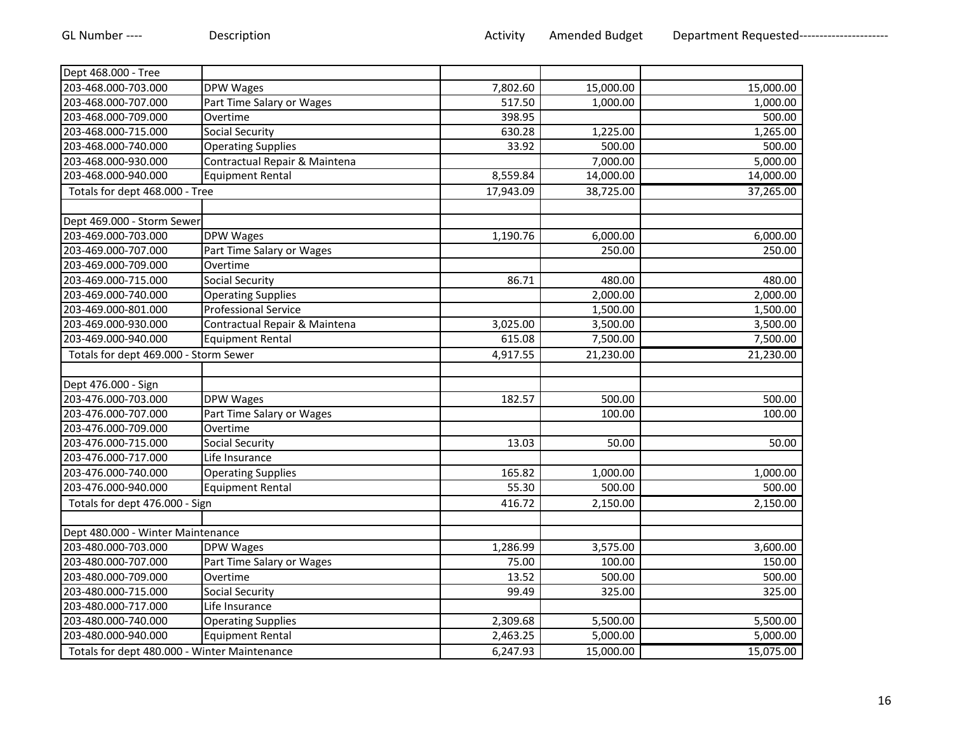| Dept 468.000 - Tree                          |                               |           |           |           |
|----------------------------------------------|-------------------------------|-----------|-----------|-----------|
| 203-468.000-703.000                          | DPW Wages                     | 7,802.60  | 15,000.00 | 15,000.00 |
| 203-468.000-707.000                          | Part Time Salary or Wages     | 517.50    | 1,000.00  | 1,000.00  |
| 203-468.000-709.000                          | Overtime                      | 398.95    |           | 500.00    |
| 203-468.000-715.000                          | <b>Social Security</b>        | 630.28    | 1,225.00  | 1,265.00  |
| 203-468.000-740.000                          | <b>Operating Supplies</b>     | 33.92     | 500.00    | 500.00    |
| 203-468.000-930.000                          | Contractual Repair & Maintena |           | 7,000.00  | 5,000.00  |
| 203-468.000-940.000                          | <b>Equipment Rental</b>       | 8,559.84  | 14,000.00 | 14,000.00 |
| Totals for dept 468.000 - Tree               |                               | 17,943.09 | 38,725.00 | 37,265.00 |
|                                              |                               |           |           |           |
| Dept 469.000 - Storm Sewer                   |                               |           |           |           |
| 203-469.000-703.000                          | <b>DPW Wages</b>              | 1,190.76  | 6,000.00  | 6,000.00  |
| 203-469.000-707.000                          | Part Time Salary or Wages     |           | 250.00    | 250.00    |
| 203-469.000-709.000                          | Overtime                      |           |           |           |
| 203-469.000-715.000                          | <b>Social Security</b>        | 86.71     | 480.00    | 480.00    |
| 203-469.000-740.000                          | <b>Operating Supplies</b>     |           | 2,000.00  | 2,000.00  |
| 203-469.000-801.000                          | <b>Professional Service</b>   |           | 1,500.00  | 1,500.00  |
| 203-469.000-930.000                          | Contractual Repair & Maintena | 3,025.00  | 3,500.00  | 3,500.00  |
| 203-469.000-940.000                          | <b>Equipment Rental</b>       | 615.08    | 7,500.00  | 7,500.00  |
| Totals for dept 469.000 - Storm Sewer        |                               | 4,917.55  | 21,230.00 | 21,230.00 |
|                                              |                               |           |           |           |
| Dept 476.000 - Sign                          |                               |           |           |           |
| 203-476.000-703.000                          | <b>DPW Wages</b>              | 182.57    | 500.00    | 500.00    |
| 203-476.000-707.000                          | Part Time Salary or Wages     |           | 100.00    | 100.00    |
| 203-476.000-709.000                          | Overtime                      |           |           |           |
| 203-476.000-715.000                          | Social Security               | 13.03     | 50.00     | 50.00     |
| 203-476.000-717.000                          | Life Insurance                |           |           |           |
| 203-476.000-740.000                          | <b>Operating Supplies</b>     | 165.82    | 1,000.00  | 1,000.00  |
| 203-476.000-940.000                          | <b>Equipment Rental</b>       | 55.30     | 500.00    | 500.00    |
| Totals for dept 476.000 - Sign               |                               | 416.72    | 2,150.00  | 2,150.00  |
|                                              |                               |           |           |           |
| Dept 480.000 - Winter Maintenance            |                               |           |           |           |
| 203-480.000-703.000                          | <b>DPW Wages</b>              | 1,286.99  | 3,575.00  | 3,600.00  |
| 203-480.000-707.000                          | Part Time Salary or Wages     | 75.00     | 100.00    | 150.00    |
| 203-480.000-709.000                          | Overtime                      | 13.52     | 500.00    | 500.00    |
| 203-480.000-715.000                          | Social Security               | 99.49     | 325.00    | 325.00    |
| 203-480.000-717.000                          | Life Insurance                |           |           |           |
| 203-480.000-740.000                          | <b>Operating Supplies</b>     | 2,309.68  | 5,500.00  | 5,500.00  |
| 203-480.000-940.000                          | <b>Equipment Rental</b>       | 2,463.25  | 5,000.00  | 5,000.00  |
| Totals for dept 480.000 - Winter Maintenance |                               | 6,247.93  | 15,000.00 | 15,075.00 |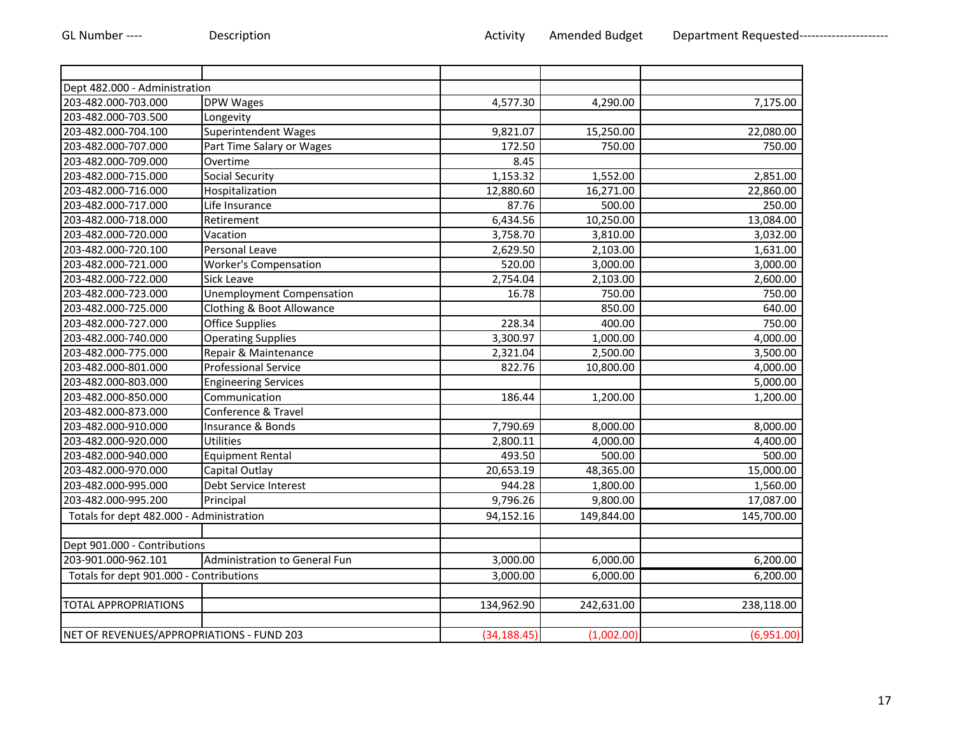| Dept 482.000 - Administration             |                                  |              |            |            |
|-------------------------------------------|----------------------------------|--------------|------------|------------|
| 203-482.000-703.000                       | <b>DPW Wages</b>                 | 4,577.30     | 4,290.00   | 7,175.00   |
| 203-482.000-703.500                       | Longevity                        |              |            |            |
| 203-482.000-704.100                       | Superintendent Wages             | 9,821.07     | 15,250.00  | 22,080.00  |
| 203-482.000-707.000                       | Part Time Salary or Wages        | 172.50       | 750.00     | 750.00     |
| 203-482.000-709.000                       | Overtime                         | 8.45         |            |            |
| 203-482.000-715.000                       | <b>Social Security</b>           | 1,153.32     | 1,552.00   | 2,851.00   |
| 203-482.000-716.000                       | Hospitalization                  | 12,880.60    | 16,271.00  | 22,860.00  |
| 203-482.000-717.000                       | Life Insurance                   | 87.76        | 500.00     | 250.00     |
| 203-482.000-718.000                       | Retirement                       | 6,434.56     | 10,250.00  | 13,084.00  |
| 203-482.000-720.000                       | Vacation                         | 3,758.70     | 3,810.00   | 3,032.00   |
| 203-482.000-720.100                       | Personal Leave                   | 2,629.50     | 2,103.00   | 1,631.00   |
| 203-482.000-721.000                       | <b>Worker's Compensation</b>     | 520.00       | 3,000.00   | 3,000.00   |
| 203-482.000-722.000                       | Sick Leave                       | 2,754.04     | 2,103.00   | 2,600.00   |
| 203-482.000-723.000                       | <b>Unemployment Compensation</b> | 16.78        | 750.00     | 750.00     |
| 203-482.000-725.000                       | Clothing & Boot Allowance        |              | 850.00     | 640.00     |
| 203-482.000-727.000                       | <b>Office Supplies</b>           | 228.34       | 400.00     | 750.00     |
| 203-482.000-740.000                       | <b>Operating Supplies</b>        | 3,300.97     | 1,000.00   | 4,000.00   |
| 203-482.000-775.000                       | Repair & Maintenance             | 2,321.04     | 2,500.00   | 3,500.00   |
| 203-482.000-801.000                       | <b>Professional Service</b>      | 822.76       | 10,800.00  | 4,000.00   |
| 203-482.000-803.000                       | <b>Engineering Services</b>      |              |            | 5,000.00   |
| 203-482.000-850.000                       | Communication                    | 186.44       | 1,200.00   | 1,200.00   |
| 203-482.000-873.000                       | Conference & Travel              |              |            |            |
| 203-482.000-910.000                       | Insurance & Bonds                | 7,790.69     | 8,000.00   | 8,000.00   |
| 203-482.000-920.000                       | <b>Utilities</b>                 | 2,800.11     | 4,000.00   | 4,400.00   |
| 203-482.000-940.000                       | <b>Equipment Rental</b>          | 493.50       | 500.00     | 500.00     |
| 203-482.000-970.000                       | Capital Outlay                   | 20,653.19    | 48,365.00  | 15,000.00  |
| 203-482.000-995.000                       | Debt Service Interest            | 944.28       | 1,800.00   | 1,560.00   |
| 203-482.000-995.200                       | Principal                        | 9,796.26     | 9,800.00   | 17,087.00  |
| Totals for dept 482.000 - Administration  |                                  | 94,152.16    | 149,844.00 | 145,700.00 |
|                                           |                                  |              |            |            |
| Dept 901.000 - Contributions              |                                  |              |            |            |
| 203-901.000-962.101                       | Administration to General Fun    | 3,000.00     | 6,000.00   | 6,200.00   |
| Totals for dept 901.000 - Contributions   |                                  | 3,000.00     | 6,000.00   | 6,200.00   |
|                                           |                                  |              |            |            |
| <b>TOTAL APPROPRIATIONS</b>               |                                  | 134,962.90   | 242,631.00 | 238,118.00 |
|                                           |                                  |              |            |            |
| NET OF REVENUES/APPROPRIATIONS - FUND 203 |                                  | (34, 188.45) | (1,002.00) | (6,951.00) |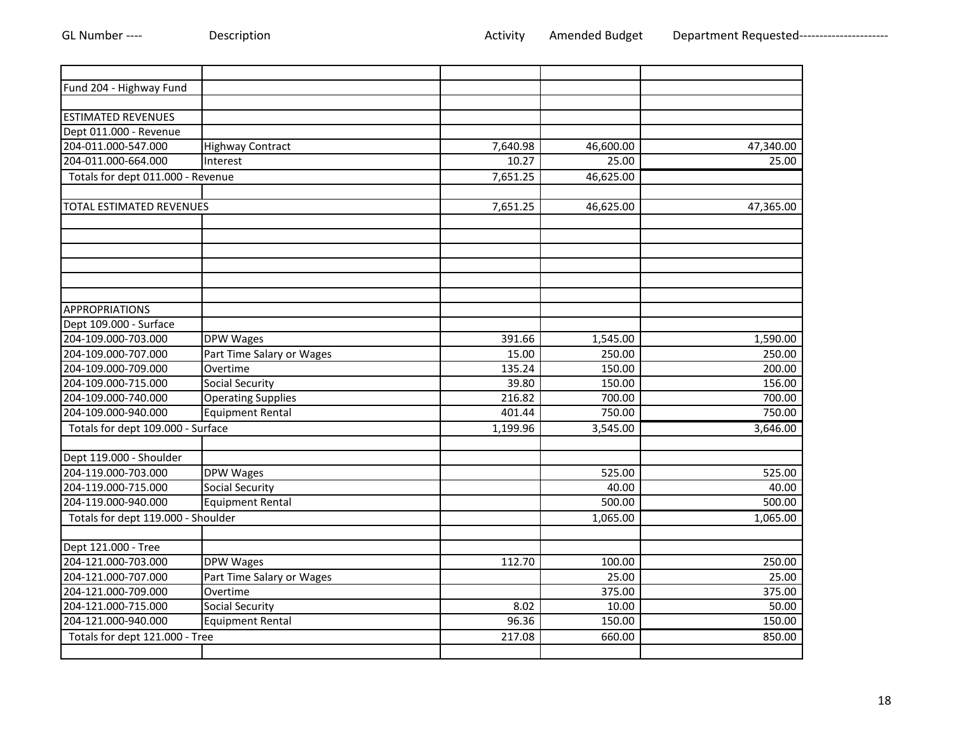| Fund 204 - Highway Fund            |                           |          |           |           |
|------------------------------------|---------------------------|----------|-----------|-----------|
|                                    |                           |          |           |           |
| <b>ESTIMATED REVENUES</b>          |                           |          |           |           |
| Dept 011.000 - Revenue             |                           |          |           |           |
| 204-011.000-547.000                | <b>Highway Contract</b>   | 7,640.98 | 46,600.00 | 47,340.00 |
| 204-011.000-664.000                | Interest                  | 10.27    | 25.00     | 25.00     |
| Totals for dept 011.000 - Revenue  |                           | 7,651.25 | 46,625.00 |           |
|                                    |                           |          |           |           |
| <b>TOTAL ESTIMATED REVENUES</b>    |                           | 7,651.25 | 46,625.00 | 47,365.00 |
|                                    |                           |          |           |           |
|                                    |                           |          |           |           |
|                                    |                           |          |           |           |
|                                    |                           |          |           |           |
|                                    |                           |          |           |           |
|                                    |                           |          |           |           |
| <b>APPROPRIATIONS</b>              |                           |          |           |           |
| Dept 109.000 - Surface             |                           |          |           |           |
| 204-109.000-703.000                | <b>DPW Wages</b>          | 391.66   | 1,545.00  | 1,590.00  |
| 204-109.000-707.000                | Part Time Salary or Wages | 15.00    | 250.00    | 250.00    |
| 204-109.000-709.000                | Overtime                  | 135.24   | 150.00    | 200.00    |
| 204-109.000-715.000                | Social Security           | 39.80    | 150.00    | 156.00    |
| 204-109.000-740.000                | <b>Operating Supplies</b> | 216.82   | 700.00    | 700.00    |
| 204-109.000-940.000                | <b>Equipment Rental</b>   | 401.44   | 750.00    | 750.00    |
| Totals for dept 109.000 - Surface  |                           | 1,199.96 | 3,545.00  | 3,646.00  |
|                                    |                           |          |           |           |
| Dept 119.000 - Shoulder            |                           |          |           |           |
| 204-119.000-703.000                | <b>DPW Wages</b>          |          | 525.00    | 525.00    |
| 204-119.000-715.000                | <b>Social Security</b>    |          | 40.00     | 40.00     |
| 204-119.000-940.000                | <b>Equipment Rental</b>   |          | 500.00    | 500.00    |
| Totals for dept 119.000 - Shoulder |                           |          | 1,065.00  | 1,065.00  |
|                                    |                           |          |           |           |
| Dept 121.000 - Tree                |                           |          |           |           |
| 204-121.000-703.000                | DPW Wages                 | 112.70   | 100.00    | 250.00    |
| 204-121.000-707.000                | Part Time Salary or Wages |          | 25.00     | 25.00     |
| 204-121.000-709.000                | Overtime                  |          | 375.00    | 375.00    |
| 204-121.000-715.000                | Social Security           | 8.02     | 10.00     | 50.00     |
| 204-121.000-940.000                | <b>Equipment Rental</b>   | 96.36    | 150.00    | 150.00    |
| Totals for dept 121.000 - Tree     |                           | 217.08   | 660.00    | 850.00    |
|                                    |                           |          |           |           |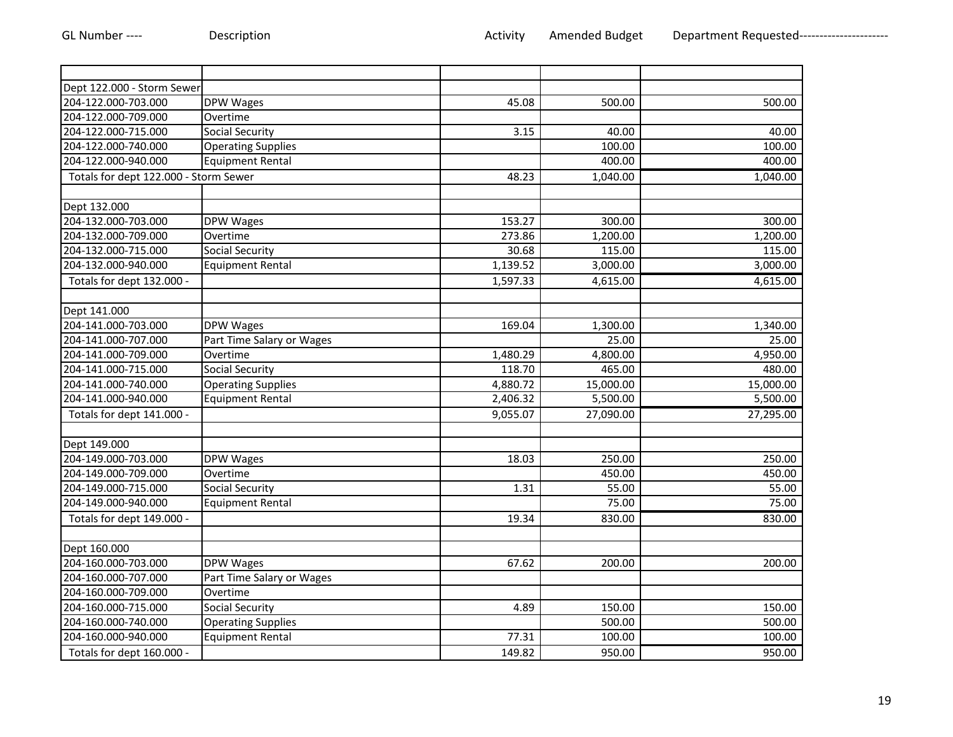| Dept 122.000 - Storm Sewer            |                           |          |           |           |
|---------------------------------------|---------------------------|----------|-----------|-----------|
| 204-122.000-703.000                   | <b>DPW Wages</b>          | 45.08    | 500.00    | 500.00    |
| 204-122.000-709.000                   | Overtime                  |          |           |           |
| 204-122.000-715.000                   | <b>Social Security</b>    | 3.15     | 40.00     | 40.00     |
| 204-122.000-740.000                   | <b>Operating Supplies</b> |          | 100.00    | 100.00    |
| 204-122.000-940.000                   | <b>Equipment Rental</b>   |          | 400.00    | 400.00    |
| Totals for dept 122.000 - Storm Sewer |                           | 48.23    | 1,040.00  | 1,040.00  |
|                                       |                           |          |           |           |
| Dept 132.000                          |                           |          |           |           |
| 204-132.000-703.000                   | DPW Wages                 | 153.27   | 300.00    | 300.00    |
| 204-132.000-709.000                   | Overtime                  | 273.86   | 1,200.00  | 1,200.00  |
| 204-132.000-715.000                   | <b>Social Security</b>    | 30.68    | 115.00    | 115.00    |
| 204-132.000-940.000                   | <b>Equipment Rental</b>   | 1,139.52 | 3,000.00  | 3,000.00  |
| Totals for dept 132.000 -             |                           | 1,597.33 | 4,615.00  | 4,615.00  |
|                                       |                           |          |           |           |
| Dept 141.000                          |                           |          |           |           |
| 204-141.000-703.000                   | DPW Wages                 | 169.04   | 1,300.00  | 1,340.00  |
| 204-141.000-707.000                   | Part Time Salary or Wages |          | 25.00     | 25.00     |
| 204-141.000-709.000                   | Overtime                  | 1,480.29 | 4,800.00  | 4,950.00  |
| 204-141.000-715.000                   | <b>Social Security</b>    | 118.70   | 465.00    | 480.00    |
| 204-141.000-740.000                   | <b>Operating Supplies</b> | 4,880.72 | 15,000.00 | 15,000.00 |
| 204-141.000-940.000                   | <b>Equipment Rental</b>   | 2,406.32 | 5,500.00  | 5,500.00  |
| Totals for dept 141.000 -             |                           | 9,055.07 | 27,090.00 | 27,295.00 |
|                                       |                           |          |           |           |
| Dept 149.000                          |                           |          |           |           |
| 204-149.000-703.000                   | DPW Wages                 | 18.03    | 250.00    | 250.00    |
| 204-149.000-709.000                   | Overtime                  |          | 450.00    | 450.00    |
| 204-149.000-715.000                   | <b>Social Security</b>    | 1.31     | 55.00     | 55.00     |
| 204-149.000-940.000                   | <b>Equipment Rental</b>   |          | 75.00     | 75.00     |
| Totals for dept 149.000 -             |                           | 19.34    | 830.00    | 830.00    |
|                                       |                           |          |           |           |
| Dept 160.000                          |                           |          |           |           |
| 204-160.000-703.000                   | <b>DPW Wages</b>          | 67.62    | 200.00    | 200.00    |
| 204-160.000-707.000                   | Part Time Salary or Wages |          |           |           |
| 204-160.000-709.000                   | Overtime                  |          |           |           |
| 204-160.000-715.000                   | Social Security           | 4.89     | 150.00    | 150.00    |
| 204-160.000-740.000                   | <b>Operating Supplies</b> |          | 500.00    | 500.00    |
| 204-160.000-940.000                   | <b>Equipment Rental</b>   | 77.31    | 100.00    | 100.00    |
| Totals for dept 160.000 -             |                           | 149.82   | 950.00    | 950.00    |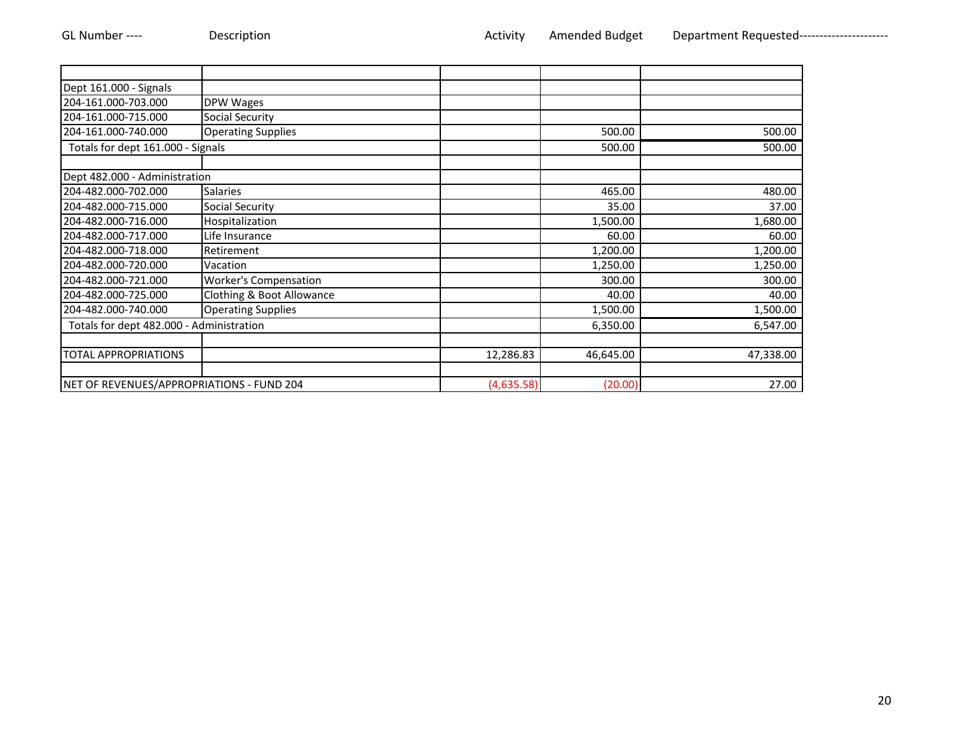| Dept 161.000 - Signals                    |                              |            |           |           |
|-------------------------------------------|------------------------------|------------|-----------|-----------|
| 204-161.000-703.000                       | <b>DPW Wages</b>             |            |           |           |
| 204-161.000-715.000                       | <b>Social Security</b>       |            |           |           |
| 204-161.000-740.000                       | <b>Operating Supplies</b>    |            | 500.00    | 500.00    |
| Totals for dept 161.000 - Signals         |                              |            | 500.00    | 500.00    |
|                                           |                              |            |           |           |
| Dept 482.000 - Administration             |                              |            |           |           |
| 204-482.000-702.000                       | <b>Salaries</b>              |            | 465.00    | 480.00    |
| 204-482.000-715.000                       | <b>Social Security</b>       |            | 35.00     | 37.00     |
| 204-482.000-716.000                       | Hospitalization              |            | 1,500.00  | 1,680.00  |
| 204-482.000-717.000                       | Life Insurance               |            | 60.00     | 60.00     |
| 204-482.000-718.000                       | Retirement                   |            | 1,200.00  | 1,200.00  |
| 204-482.000-720.000                       | Vacation                     |            | 1,250.00  | 1,250.00  |
| 204-482.000-721.000                       | <b>Worker's Compensation</b> |            | 300.00    | 300.00    |
| 204-482.000-725.000                       | Clothing & Boot Allowance    |            | 40.00     | 40.00     |
| 204-482.000-740.000                       | <b>Operating Supplies</b>    |            | 1,500.00  | 1,500.00  |
| Totals for dept 482.000 - Administration  |                              |            | 6,350.00  | 6,547.00  |
|                                           |                              |            |           |           |
| <b>TOTAL APPROPRIATIONS</b>               |                              | 12,286.83  | 46,645.00 | 47,338.00 |
| NET OF REVENUES/APPROPRIATIONS - FUND 204 |                              | (4,635.58) | (20.00)   | 27.00     |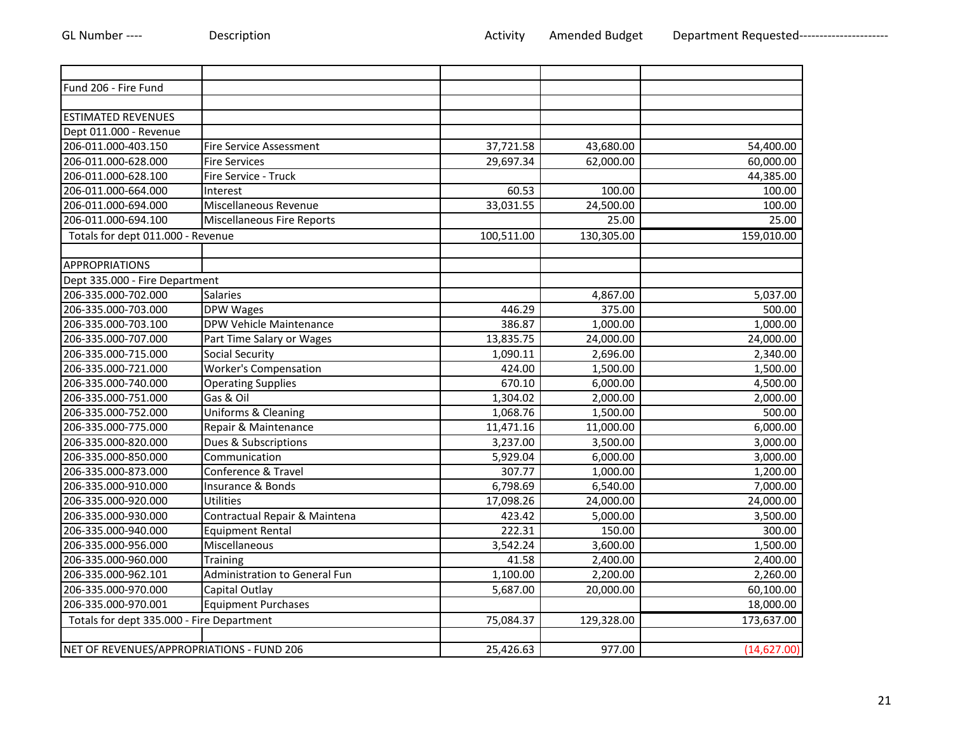| Fund 206 - Fire Fund                      |                                   |            |            |             |
|-------------------------------------------|-----------------------------------|------------|------------|-------------|
|                                           |                                   |            |            |             |
| <b>ESTIMATED REVENUES</b>                 |                                   |            |            |             |
| Dept 011.000 - Revenue                    |                                   |            |            |             |
| 206-011.000-403.150                       | <b>Fire Service Assessment</b>    | 37,721.58  | 43,680.00  | 54,400.00   |
| 206-011.000-628.000                       | <b>Fire Services</b>              | 29,697.34  | 62,000.00  | 60,000.00   |
| 206-011.000-628.100                       | Fire Service - Truck              |            |            | 44,385.00   |
| 206-011.000-664.000                       | Interest                          | 60.53      | 100.00     | 100.00      |
| 206-011.000-694.000                       | Miscellaneous Revenue             | 33,031.55  | 24,500.00  | 100.00      |
| 206-011.000-694.100                       | <b>Miscellaneous Fire Reports</b> |            | 25.00      | 25.00       |
| Totals for dept 011.000 - Revenue         |                                   | 100,511.00 | 130,305.00 | 159,010.00  |
|                                           |                                   |            |            |             |
| <b>APPROPRIATIONS</b>                     |                                   |            |            |             |
| Dept 335.000 - Fire Department            |                                   |            |            |             |
| 206-335.000-702.000                       | <b>Salaries</b>                   |            | 4,867.00   | 5,037.00    |
| 206-335.000-703.000                       | DPW Wages                         | 446.29     | 375.00     | 500.00      |
| 206-335.000-703.100                       | DPW Vehicle Maintenance           | 386.87     | 1,000.00   | 1,000.00    |
| 206-335.000-707.000                       | Part Time Salary or Wages         | 13,835.75  | 24,000.00  | 24,000.00   |
| 206-335.000-715.000                       | <b>Social Security</b>            | 1,090.11   | 2,696.00   | 2,340.00    |
| 206-335.000-721.000                       | <b>Worker's Compensation</b>      | 424.00     | 1,500.00   | 1,500.00    |
| 206-335.000-740.000                       | <b>Operating Supplies</b>         | 670.10     | 6,000.00   | 4,500.00    |
| 206-335.000-751.000                       | Gas & Oil                         | 1,304.02   | 2,000.00   | 2,000.00    |
| 206-335.000-752.000                       | Uniforms & Cleaning               | 1,068.76   | 1,500.00   | 500.00      |
| 206-335.000-775.000                       | Repair & Maintenance              | 11,471.16  | 11,000.00  | 6,000.00    |
| 206-335.000-820.000                       | Dues & Subscriptions              | 3,237.00   | 3,500.00   | 3,000.00    |
| 206-335.000-850.000                       | Communication                     | 5,929.04   | 6,000.00   | 3,000.00    |
| 206-335.000-873.000                       | Conference & Travel               | 307.77     | 1,000.00   | 1,200.00    |
| 206-335.000-910.000                       | Insurance & Bonds                 | 6,798.69   | 6,540.00   | 7,000.00    |
| 206-335.000-920.000                       | Utilities                         | 17,098.26  | 24,000.00  | 24,000.00   |
| 206-335.000-930.000                       | Contractual Repair & Maintena     | 423.42     | 5,000.00   | 3,500.00    |
| 206-335.000-940.000                       | <b>Equipment Rental</b>           | 222.31     | 150.00     | 300.00      |
| 206-335.000-956.000                       | Miscellaneous                     | 3,542.24   | 3,600.00   | 1,500.00    |
| 206-335.000-960.000                       | Training                          | 41.58      | 2,400.00   | 2,400.00    |
| 206-335.000-962.101                       | Administration to General Fun     | 1,100.00   | 2,200.00   | 2,260.00    |
| 206-335.000-970.000                       | Capital Outlay                    | 5,687.00   | 20,000.00  | 60,100.00   |
| 206-335.000-970.001                       | <b>Equipment Purchases</b>        |            |            | 18,000.00   |
| Totals for dept 335.000 - Fire Department |                                   | 75,084.37  | 129,328.00 | 173,637.00  |
|                                           |                                   |            |            |             |
| NET OF REVENUES/APPROPRIATIONS - FUND 206 |                                   | 25,426.63  | 977.00     | (14,627.00) |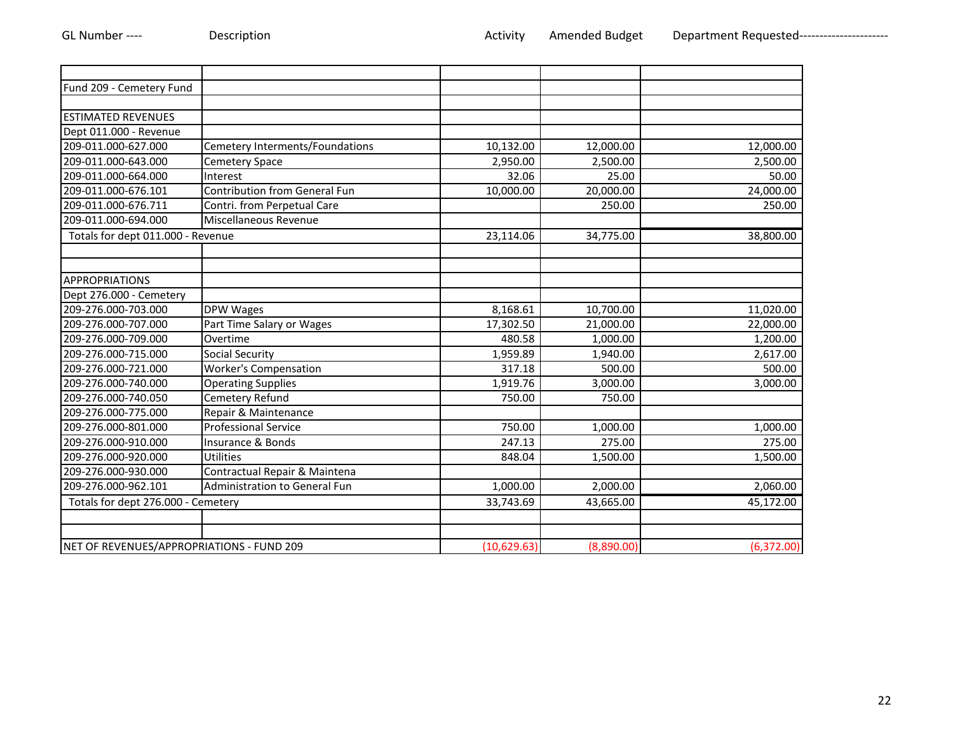| Fund 209 - Cemetery Fund                  |                                 |             |            |            |
|-------------------------------------------|---------------------------------|-------------|------------|------------|
|                                           |                                 |             |            |            |
| <b>ESTIMATED REVENUES</b>                 |                                 |             |            |            |
| Dept 011.000 - Revenue                    |                                 |             |            |            |
| 209-011.000-627.000                       | Cemetery Interments/Foundations | 10,132.00   | 12,000.00  | 12,000.00  |
| 209-011.000-643.000                       | <b>Cemetery Space</b>           | 2,950.00    | 2,500.00   | 2,500.00   |
| 209-011.000-664.000                       | Interest                        | 32.06       | 25.00      | 50.00      |
| 209-011.000-676.101                       | Contribution from General Fun   | 10,000.00   | 20,000.00  | 24,000.00  |
| 209-011.000-676.711                       | Contri. from Perpetual Care     |             | 250.00     | 250.00     |
| 209-011.000-694.000                       | Miscellaneous Revenue           |             |            |            |
| Totals for dept 011.000 - Revenue         |                                 | 23,114.06   | 34,775.00  | 38,800.00  |
|                                           |                                 |             |            |            |
|                                           |                                 |             |            |            |
| <b>APPROPRIATIONS</b>                     |                                 |             |            |            |
| Dept 276.000 - Cemetery                   |                                 |             |            |            |
| 209-276.000-703.000                       | DPW Wages                       | 8,168.61    | 10,700.00  | 11,020.00  |
| 209-276.000-707.000                       | Part Time Salary or Wages       | 17,302.50   | 21,000.00  | 22,000.00  |
| 209-276.000-709.000                       | Overtime                        | 480.58      | 1,000.00   | 1,200.00   |
| 209-276.000-715.000                       | <b>Social Security</b>          | 1,959.89    | 1,940.00   | 2,617.00   |
| 209-276.000-721.000                       | <b>Worker's Compensation</b>    | 317.18      | 500.00     | 500.00     |
| 209-276.000-740.000                       | <b>Operating Supplies</b>       | 1,919.76    | 3,000.00   | 3,000.00   |
| 209-276.000-740.050                       | Cemetery Refund                 | 750.00      | 750.00     |            |
| 209-276.000-775.000                       | Repair & Maintenance            |             |            |            |
| 209-276.000-801.000                       | <b>Professional Service</b>     | 750.00      | 1,000.00   | 1,000.00   |
| 209-276.000-910.000                       | Insurance & Bonds               | 247.13      | 275.00     | 275.00     |
| 209-276.000-920.000                       | <b>Utilities</b>                | 848.04      | 1,500.00   | 1,500.00   |
| 209-276.000-930.000                       | Contractual Repair & Maintena   |             |            |            |
| 209-276.000-962.101                       | Administration to General Fun   | 1,000.00    | 2,000.00   | 2,060.00   |
| Totals for dept 276.000 - Cemetery        |                                 | 33,743.69   | 43,665.00  | 45,172.00  |
|                                           |                                 |             |            |            |
|                                           |                                 |             |            |            |
| NET OF REVENUES/APPROPRIATIONS - FUND 209 |                                 | (10,629.63) | (8,890.00) | (6,372.00) |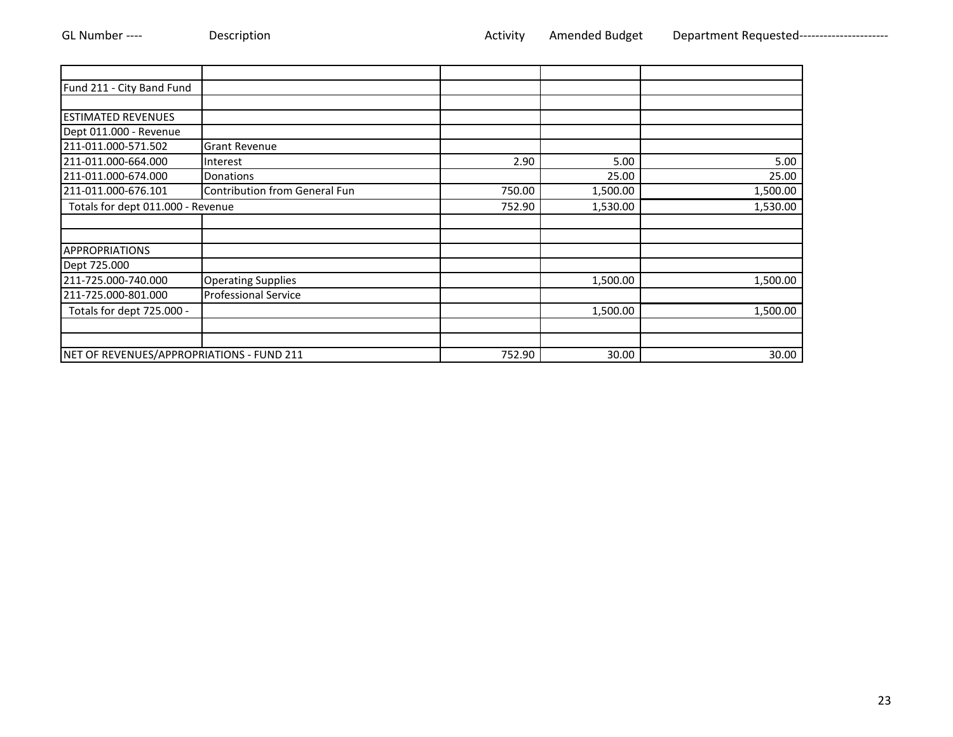| Fund 211 - City Band Fund                 |                                      |        |          |          |
|-------------------------------------------|--------------------------------------|--------|----------|----------|
|                                           |                                      |        |          |          |
| <b>ESTIMATED REVENUES</b>                 |                                      |        |          |          |
| Dept 011.000 - Revenue                    |                                      |        |          |          |
| 211-011.000-571.502                       | <b>Grant Revenue</b>                 |        |          |          |
| 211-011.000-664.000                       | Interest                             | 2.90   | 5.00     | 5.00     |
| 211-011.000-674.000                       | Donations                            |        | 25.00    | 25.00    |
| 211-011.000-676.101                       | <b>Contribution from General Fun</b> | 750.00 | 1,500.00 | 1,500.00 |
| Totals for dept 011.000 - Revenue         |                                      | 752.90 | 1,530.00 | 1,530.00 |
|                                           |                                      |        |          |          |
|                                           |                                      |        |          |          |
| <b>APPROPRIATIONS</b>                     |                                      |        |          |          |
| Dept 725.000                              |                                      |        |          |          |
| 211-725.000-740.000                       | <b>Operating Supplies</b>            |        | 1,500.00 | 1,500.00 |
| 211-725.000-801.000                       | <b>Professional Service</b>          |        |          |          |
| Totals for dept 725.000 -                 |                                      |        | 1,500.00 | 1,500.00 |
|                                           |                                      |        |          |          |
|                                           |                                      |        |          |          |
| NET OF REVENUES/APPROPRIATIONS - FUND 211 |                                      | 752.90 | 30.00    | 30.00    |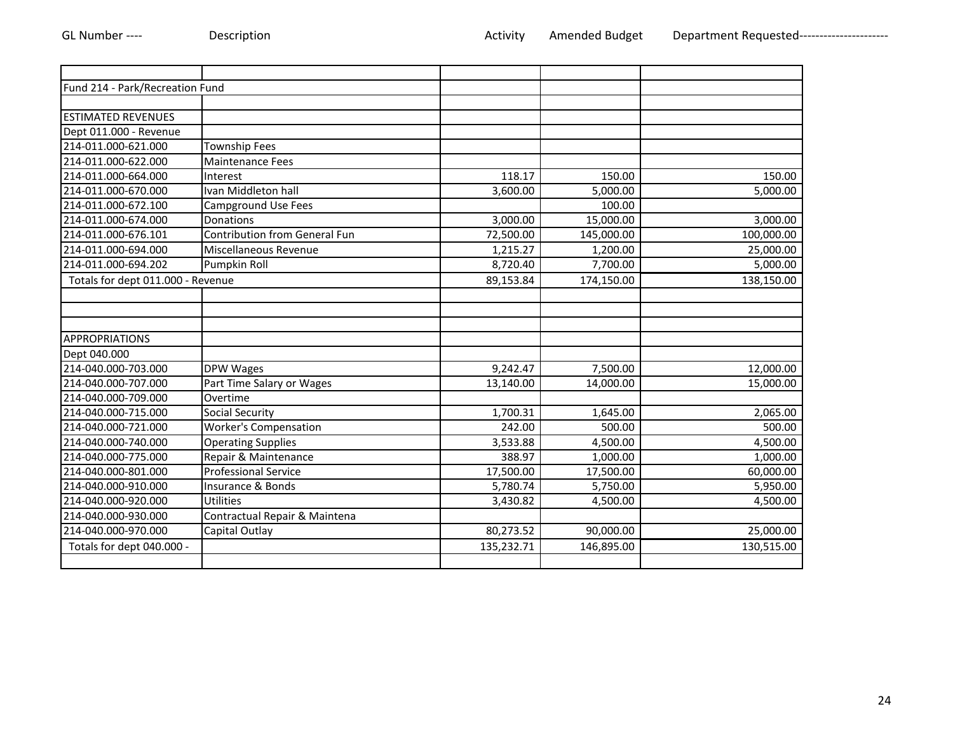| Fund 214 - Park/Recreation Fund   |                                      |            |            |            |
|-----------------------------------|--------------------------------------|------------|------------|------------|
|                                   |                                      |            |            |            |
| <b>ESTIMATED REVENUES</b>         |                                      |            |            |            |
| Dept 011.000 - Revenue            |                                      |            |            |            |
| 214-011.000-621.000               | <b>Township Fees</b>                 |            |            |            |
| 214-011.000-622.000               | <b>Maintenance Fees</b>              |            |            |            |
| 214-011.000-664.000               | Interest                             | 118.17     | 150.00     | 150.00     |
| 214-011.000-670.000               | Ivan Middleton hall                  | 3,600.00   | 5,000.00   | 5,000.00   |
| 214-011.000-672.100               | <b>Campground Use Fees</b>           |            | 100.00     |            |
| 214-011.000-674.000               | Donations                            | 3,000.00   | 15,000.00  | 3,000.00   |
| 214-011.000-676.101               | <b>Contribution from General Fun</b> | 72,500.00  | 145,000.00 | 100,000.00 |
| 214-011.000-694.000               | Miscellaneous Revenue                | 1,215.27   | 1,200.00   | 25,000.00  |
| 214-011.000-694.202               | Pumpkin Roll                         | 8,720.40   | 7,700.00   | 5,000.00   |
| Totals for dept 011.000 - Revenue |                                      | 89,153.84  | 174,150.00 | 138,150.00 |
|                                   |                                      |            |            |            |
|                                   |                                      |            |            |            |
|                                   |                                      |            |            |            |
| <b>APPROPRIATIONS</b>             |                                      |            |            |            |
| Dept 040.000                      |                                      |            |            |            |
| 214-040.000-703.000               | DPW Wages                            | 9,242.47   | 7,500.00   | 12,000.00  |
| 214-040.000-707.000               | Part Time Salary or Wages            | 13,140.00  | 14,000.00  | 15,000.00  |
| 214-040.000-709.000               | Overtime                             |            |            |            |
| 214-040.000-715.000               | <b>Social Security</b>               | 1,700.31   | 1,645.00   | 2,065.00   |
| 214-040.000-721.000               | <b>Worker's Compensation</b>         | 242.00     | 500.00     | 500.00     |
| 214-040.000-740.000               | <b>Operating Supplies</b>            | 3,533.88   | 4,500.00   | 4,500.00   |
| 214-040.000-775.000               | Repair & Maintenance                 | 388.97     | 1,000.00   | 1,000.00   |
| 214-040.000-801.000               | <b>Professional Service</b>          | 17,500.00  | 17,500.00  | 60,000.00  |
| 214-040.000-910.000               | Insurance & Bonds                    | 5,780.74   | 5,750.00   | 5,950.00   |
| 214-040.000-920.000               | <b>Utilities</b>                     | 3,430.82   | 4,500.00   | 4,500.00   |
| 214-040.000-930.000               | Contractual Repair & Maintena        |            |            |            |
| 214-040.000-970.000               | Capital Outlay                       | 80,273.52  | 90,000.00  | 25,000.00  |
| Totals for dept 040.000 -         |                                      | 135,232.71 | 146,895.00 | 130,515.00 |
|                                   |                                      |            |            |            |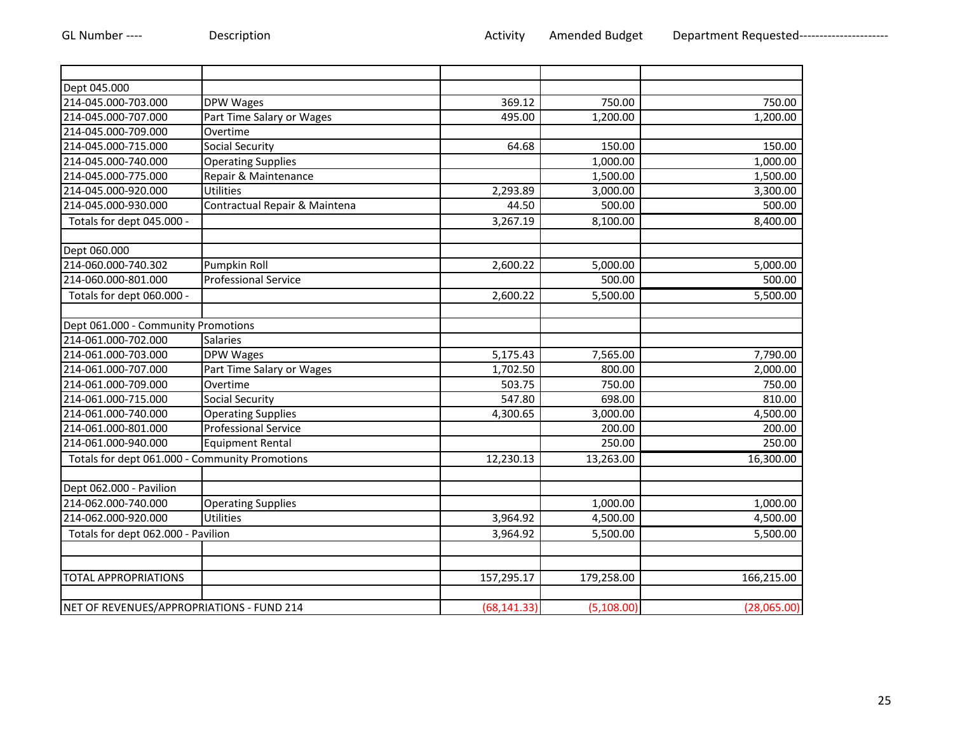| Dept 045.000                                   |                               |              |             |             |
|------------------------------------------------|-------------------------------|--------------|-------------|-------------|
| 214-045.000-703.000                            | DPW Wages                     | 369.12       | 750.00      | 750.00      |
| 214-045.000-707.000                            | Part Time Salary or Wages     | 495.00       | 1,200.00    | 1,200.00    |
| 214-045.000-709.000                            | Overtime                      |              |             |             |
| 214-045.000-715.000                            | <b>Social Security</b>        | 64.68        | 150.00      | 150.00      |
| 214-045.000-740.000                            | <b>Operating Supplies</b>     |              | 1,000.00    | 1,000.00    |
| 214-045.000-775.000                            | Repair & Maintenance          |              | 1,500.00    | 1,500.00    |
| 214-045.000-920.000                            | <b>Utilities</b>              | 2,293.89     | 3,000.00    | 3,300.00    |
| 214-045.000-930.000                            | Contractual Repair & Maintena | 44.50        | 500.00      | 500.00      |
| Totals for dept 045.000 -                      |                               | 3,267.19     | 8,100.00    | 8,400.00    |
| Dept 060.000                                   |                               |              |             |             |
| 214-060.000-740.302                            | Pumpkin Roll                  | 2,600.22     | 5,000.00    | 5,000.00    |
| 214-060.000-801.000                            | <b>Professional Service</b>   |              | 500.00      | 500.00      |
| Totals for dept 060.000 -                      |                               | 2,600.22     | 5,500.00    | 5,500.00    |
|                                                |                               |              |             |             |
| Dept 061.000 - Community Promotions            |                               |              |             |             |
| 214-061.000-702.000                            | Salaries                      |              |             |             |
| 214-061.000-703.000                            | DPW Wages                     | 5,175.43     | 7,565.00    | 7,790.00    |
| 214-061.000-707.000                            | Part Time Salary or Wages     | 1,702.50     | 800.00      | 2,000.00    |
| 214-061.000-709.000                            | Overtime                      | 503.75       | 750.00      | 750.00      |
| 214-061.000-715.000                            | <b>Social Security</b>        | 547.80       | 698.00      | 810.00      |
| 214-061.000-740.000                            | <b>Operating Supplies</b>     | 4,300.65     | 3,000.00    | 4,500.00    |
| 214-061.000-801.000                            | <b>Professional Service</b>   |              | 200.00      | 200.00      |
| 214-061.000-940.000                            | <b>Equipment Rental</b>       |              | 250.00      | 250.00      |
| Totals for dept 061.000 - Community Promotions |                               | 12,230.13    | 13,263.00   | 16,300.00   |
| Dept 062.000 - Pavilion                        |                               |              |             |             |
| 214-062.000-740.000                            | <b>Operating Supplies</b>     |              | 1,000.00    | 1,000.00    |
| 214-062.000-920.000                            | <b>Utilities</b>              | 3,964.92     | 4,500.00    | 4,500.00    |
| Totals for dept 062.000 - Pavilion             |                               | 3,964.92     | 5,500.00    | 5,500.00    |
|                                                |                               |              |             |             |
| TOTAL APPROPRIATIONS                           |                               | 157,295.17   | 179,258.00  | 166,215.00  |
|                                                |                               |              |             |             |
| NET OF REVENUES/APPROPRIATIONS - FUND 214      |                               | (68, 141.33) | (5, 108.00) | (28,065.00) |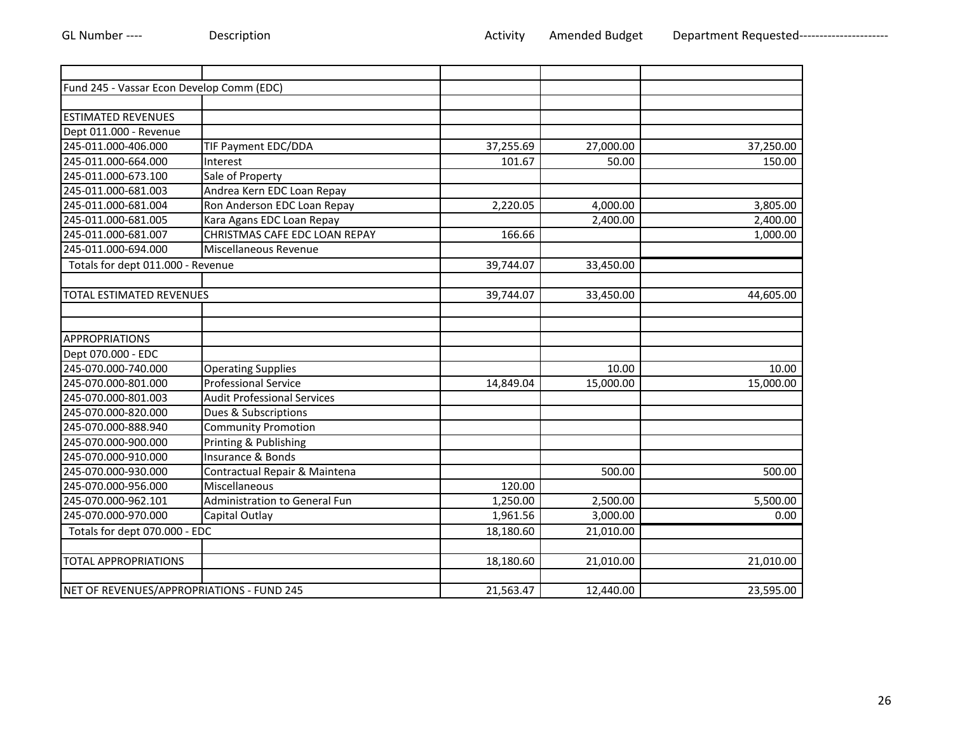| Fund 245 - Vassar Econ Develop Comm (EDC) |                                    |           |           |           |
|-------------------------------------------|------------------------------------|-----------|-----------|-----------|
|                                           |                                    |           |           |           |
| <b>ESTIMATED REVENUES</b>                 |                                    |           |           |           |
| Dept 011.000 - Revenue                    |                                    |           |           |           |
| 245-011.000-406.000                       | TIF Payment EDC/DDA                | 37,255.69 | 27,000.00 | 37,250.00 |
| 245-011.000-664.000                       | Interest                           | 101.67    | 50.00     | 150.00    |
| 245-011.000-673.100                       | Sale of Property                   |           |           |           |
| 245-011.000-681.003                       | Andrea Kern EDC Loan Repay         |           |           |           |
| 245-011.000-681.004                       | Ron Anderson EDC Loan Repay        | 2,220.05  | 4,000.00  | 3,805.00  |
| 245-011.000-681.005                       | Kara Agans EDC Loan Repay          |           | 2,400.00  | 2,400.00  |
| 245-011.000-681.007                       | CHRISTMAS CAFE EDC LOAN REPAY      | 166.66    |           | 1,000.00  |
| 245-011.000-694.000                       | Miscellaneous Revenue              |           |           |           |
| Totals for dept 011.000 - Revenue         |                                    | 39,744.07 | 33,450.00 |           |
|                                           |                                    |           |           |           |
| TOTAL ESTIMATED REVENUES                  |                                    | 39,744.07 | 33,450.00 | 44,605.00 |
|                                           |                                    |           |           |           |
|                                           |                                    |           |           |           |
| <b>APPROPRIATIONS</b>                     |                                    |           |           |           |
| Dept 070.000 - EDC                        |                                    |           |           |           |
| 245-070.000-740.000                       | <b>Operating Supplies</b>          |           | 10.00     | 10.00     |
| 245-070.000-801.000                       | <b>Professional Service</b>        | 14,849.04 | 15,000.00 | 15,000.00 |
| 245-070.000-801.003                       | <b>Audit Professional Services</b> |           |           |           |
| 245-070.000-820.000                       | Dues & Subscriptions               |           |           |           |
| 245-070.000-888.940                       | <b>Community Promotion</b>         |           |           |           |
| 245-070.000-900.000                       | Printing & Publishing              |           |           |           |
| 245-070.000-910.000                       | Insurance & Bonds                  |           |           |           |
| 245-070.000-930.000                       | Contractual Repair & Maintena      |           | 500.00    | 500.00    |
| 245-070.000-956.000                       | Miscellaneous                      | 120.00    |           |           |
| 245-070.000-962.101                       | Administration to General Fun      | 1,250.00  | 2,500.00  | 5,500.00  |
| 245-070.000-970.000                       | Capital Outlay                     | 1,961.56  | 3,000.00  | 0.00      |
| Totals for dept 070.000 - EDC             |                                    | 18,180.60 | 21,010.00 |           |
|                                           |                                    |           |           |           |
| <b>TOTAL APPROPRIATIONS</b>               |                                    | 18,180.60 | 21,010.00 | 21,010.00 |
|                                           |                                    |           |           |           |
| NET OF REVENUES/APPROPRIATIONS - FUND 245 |                                    | 21,563.47 | 12,440.00 | 23,595.00 |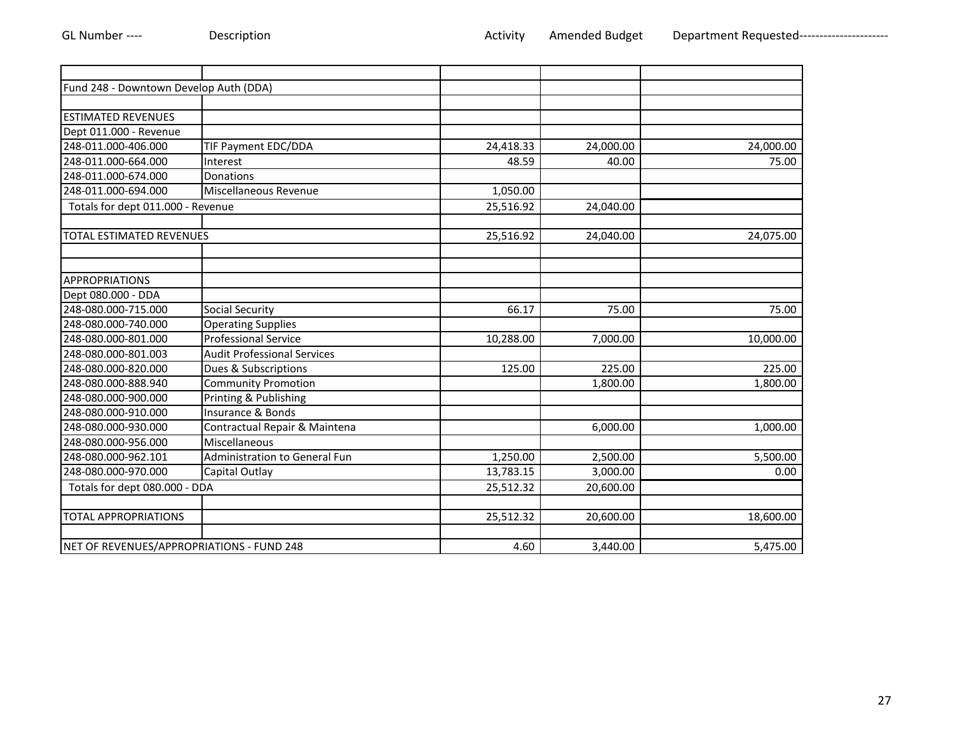| Fund 248 - Downtown Develop Auth (DDA)    |                                    |           |           |           |
|-------------------------------------------|------------------------------------|-----------|-----------|-----------|
|                                           |                                    |           |           |           |
| <b>ESTIMATED REVENUES</b>                 |                                    |           |           |           |
| Dept 011.000 - Revenue                    |                                    |           |           |           |
| 248-011.000-406.000                       | TIF Payment EDC/DDA                | 24,418.33 | 24,000.00 | 24,000.00 |
| 248-011.000-664.000                       | Interest                           | 48.59     | 40.00     | 75.00     |
| 248-011.000-674.000                       | Donations                          |           |           |           |
| 248-011.000-694.000                       | Miscellaneous Revenue              | 1,050.00  |           |           |
| Totals for dept 011.000 - Revenue         |                                    | 25,516.92 | 24,040.00 |           |
| TOTAL ESTIMATED REVENUES                  |                                    | 25,516.92 | 24,040.00 | 24,075.00 |
|                                           |                                    |           |           |           |
| <b>APPROPRIATIONS</b>                     |                                    |           |           |           |
| Dept 080.000 - DDA                        |                                    |           |           |           |
| 248-080.000-715.000                       | Social Security                    | 66.17     | 75.00     | 75.00     |
| 248-080.000-740.000                       | <b>Operating Supplies</b>          |           |           |           |
| 248-080.000-801.000                       | <b>Professional Service</b>        | 10,288.00 | 7,000.00  | 10,000.00 |
| 248-080.000-801.003                       | <b>Audit Professional Services</b> |           |           |           |
| 248-080.000-820.000                       | Dues & Subscriptions               | 125.00    | 225.00    | 225.00    |
| 248-080.000-888.940                       | <b>Community Promotion</b>         |           | 1,800.00  | 1,800.00  |
| 248-080.000-900.000                       | Printing & Publishing              |           |           |           |
| 248-080.000-910.000                       | Insurance & Bonds                  |           |           |           |
| 248-080.000-930.000                       | Contractual Repair & Maintena      |           | 6,000.00  | 1,000.00  |
| 248-080.000-956.000                       | Miscellaneous                      |           |           |           |
| 248-080.000-962.101                       | Administration to General Fun      | 1,250.00  | 2,500.00  | 5,500.00  |
| 248-080.000-970.000                       | Capital Outlay                     | 13,783.15 | 3,000.00  | 0.00      |
| Totals for dept 080.000 - DDA             |                                    | 25,512.32 | 20,600.00 |           |
| <b>TOTAL APPROPRIATIONS</b>               |                                    | 25,512.32 | 20,600.00 | 18,600.00 |
| NET OF REVENUES/APPROPRIATIONS - FUND 248 |                                    | 4.60      | 3,440.00  | 5,475.00  |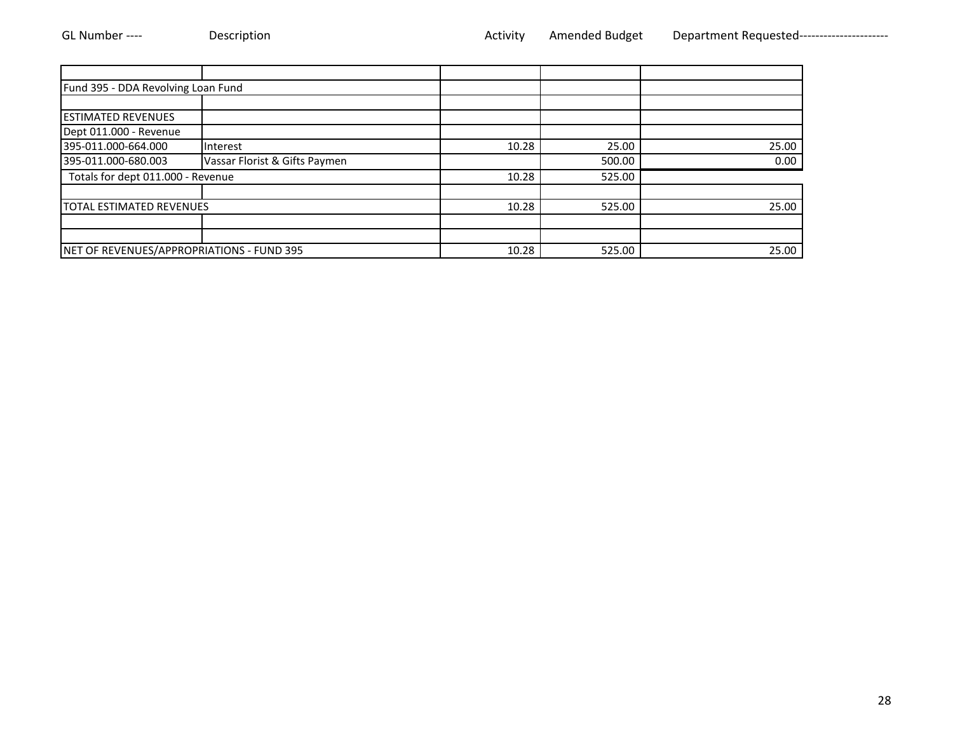| Fund 395 - DDA Revolving Loan Fund        |                               |       |        |       |
|-------------------------------------------|-------------------------------|-------|--------|-------|
|                                           |                               |       |        |       |
| <b>ESTIMATED REVENUES</b>                 |                               |       |        |       |
| Dept 011.000 - Revenue                    |                               |       |        |       |
| 395-011.000-664.000                       | Interest                      | 10.28 | 25.00  | 25.00 |
| 395-011.000-680.003                       | Vassar Florist & Gifts Paymen |       | 500.00 | 0.00  |
| Totals for dept 011.000 - Revenue         |                               | 10.28 | 525.00 |       |
|                                           |                               |       |        |       |
| <b>TOTAL ESTIMATED REVENUES</b>           |                               | 10.28 | 525.00 | 25.00 |
|                                           |                               |       |        |       |
|                                           |                               |       |        |       |
| NET OF REVENUES/APPROPRIATIONS - FUND 395 |                               | 10.28 | 525.00 | 25.00 |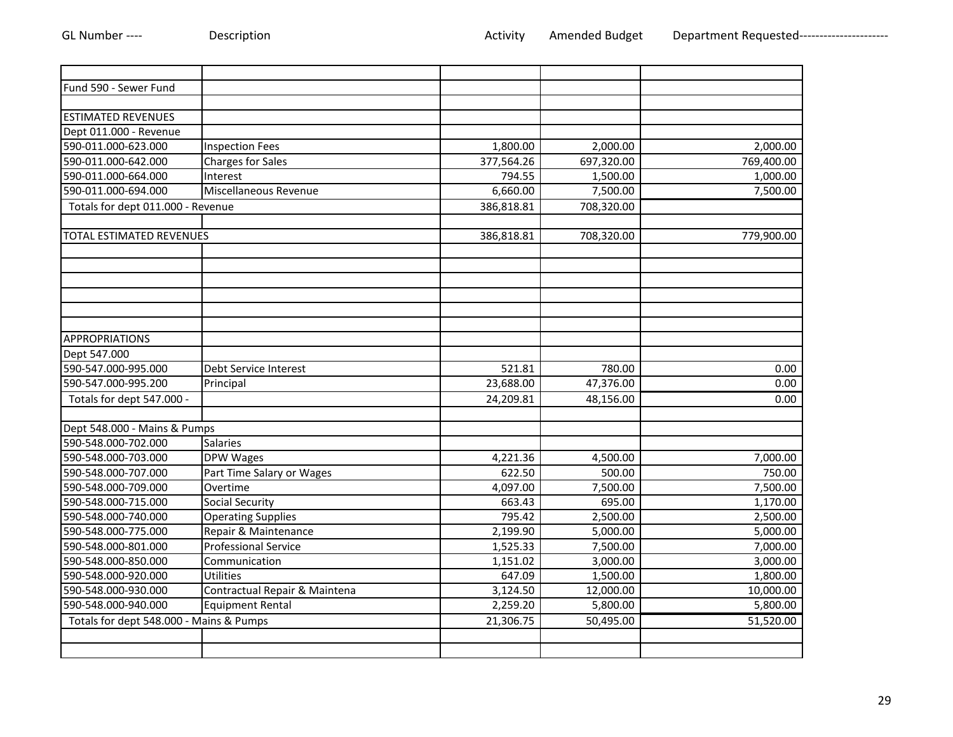| Fund 590 - Sewer Fund                   |                               |            |            |            |
|-----------------------------------------|-------------------------------|------------|------------|------------|
|                                         |                               |            |            |            |
| <b>ESTIMATED REVENUES</b>               |                               |            |            |            |
| Dept 011.000 - Revenue                  |                               |            |            |            |
| 590-011.000-623.000                     | <b>Inspection Fees</b>        | 1,800.00   | 2,000.00   | 2,000.00   |
| 590-011.000-642.000                     | <b>Charges for Sales</b>      | 377,564.26 | 697,320.00 | 769,400.00 |
| 590-011.000-664.000                     | Interest                      | 794.55     | 1,500.00   | 1,000.00   |
| 590-011.000-694.000                     | Miscellaneous Revenue         | 6,660.00   | 7,500.00   | 7,500.00   |
| Totals for dept 011.000 - Revenue       |                               | 386,818.81 | 708,320.00 |            |
|                                         |                               |            |            |            |
| <b>TOTAL ESTIMATED REVENUES</b>         |                               | 386,818.81 | 708,320.00 | 779,900.00 |
|                                         |                               |            |            |            |
|                                         |                               |            |            |            |
|                                         |                               |            |            |            |
|                                         |                               |            |            |            |
|                                         |                               |            |            |            |
|                                         |                               |            |            |            |
| <b>APPROPRIATIONS</b>                   |                               |            |            |            |
| Dept 547.000                            |                               |            |            |            |
| 590-547.000-995.000                     | Debt Service Interest         | 521.81     | 780.00     | 0.00       |
| 590-547.000-995.200                     | Principal                     | 23,688.00  | 47,376.00  | 0.00       |
| Totals for dept 547.000 -               |                               | 24,209.81  | 48,156.00  | 0.00       |
|                                         |                               |            |            |            |
| Dept 548.000 - Mains & Pumps            |                               |            |            |            |
| 590-548.000-702.000                     | <b>Salaries</b>               |            |            |            |
| 590-548.000-703.000                     | DPW Wages                     | 4,221.36   | 4,500.00   | 7,000.00   |
| 590-548.000-707.000                     | Part Time Salary or Wages     | 622.50     | 500.00     | 750.00     |
| 590-548.000-709.000                     | Overtime                      | 4,097.00   | 7,500.00   | 7,500.00   |
| 590-548.000-715.000                     | <b>Social Security</b>        | 663.43     | 695.00     | 1,170.00   |
| 590-548.000-740.000                     | <b>Operating Supplies</b>     | 795.42     | 2,500.00   | 2,500.00   |
| 590-548.000-775.000                     | Repair & Maintenance          | 2,199.90   | 5,000.00   | 5,000.00   |
| 590-548.000-801.000                     | <b>Professional Service</b>   | 1,525.33   | 7,500.00   | 7,000.00   |
| 590-548.000-850.000                     | Communication                 | 1,151.02   | 3,000.00   | 3,000.00   |
| 590-548.000-920.000                     | Utilities                     | 647.09     | 1,500.00   | 1,800.00   |
| 590-548.000-930.000                     | Contractual Repair & Maintena | 3,124.50   | 12,000.00  | 10,000.00  |
| 590-548.000-940.000                     | <b>Equipment Rental</b>       | 2,259.20   | 5,800.00   | 5,800.00   |
| Totals for dept 548.000 - Mains & Pumps |                               | 21,306.75  | 50,495.00  | 51,520.00  |
|                                         |                               |            |            |            |
|                                         |                               |            |            |            |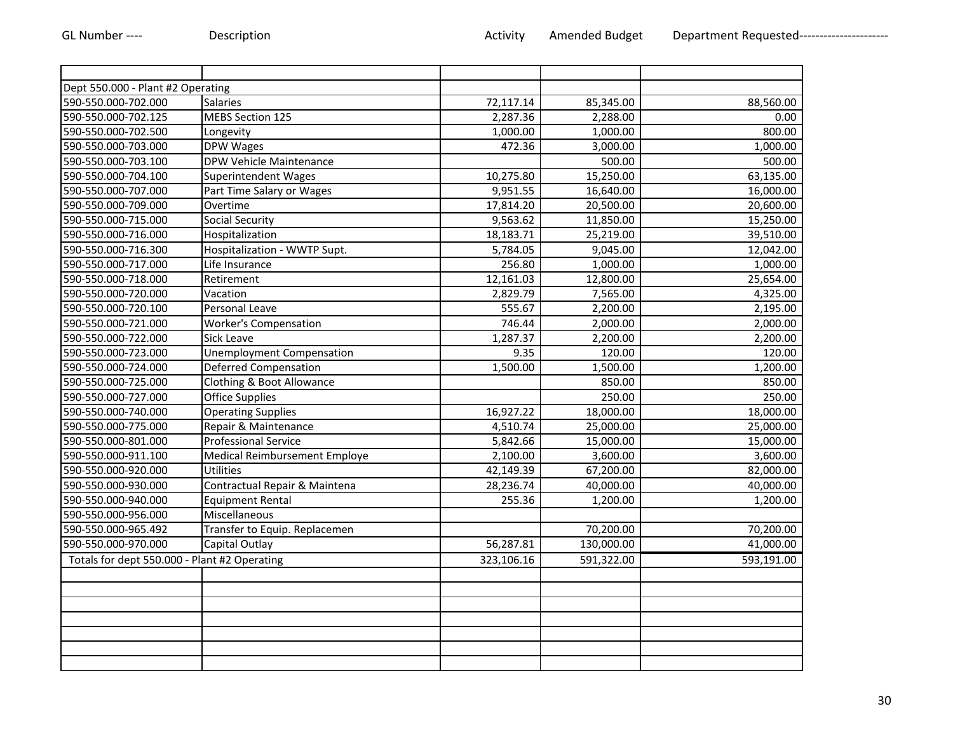| Dept 550.000 - Plant #2 Operating            |                                  |            |            |                       |
|----------------------------------------------|----------------------------------|------------|------------|-----------------------|
| 590-550.000-702.000                          | <b>Salaries</b>                  | 72,117.14  | 85,345.00  | 88,560.00             |
| 590-550.000-702.125                          | <b>MEBS Section 125</b>          | 2,287.36   | 2,288.00   | 0.00                  |
| 590-550.000-702.500                          | Longevity                        | 1,000.00   | 1,000.00   | 800.00                |
| 590-550.000-703.000                          | <b>DPW Wages</b>                 | 472.36     | 3,000.00   | $\overline{1,000.00}$ |
| 590-550.000-703.100                          | DPW Vehicle Maintenance          |            | 500.00     | 500.00                |
| 590-550.000-704.100                          | <b>Superintendent Wages</b>      | 10,275.80  | 15,250.00  | 63,135.00             |
| 590-550.000-707.000                          | Part Time Salary or Wages        | 9,951.55   | 16,640.00  | 16,000.00             |
| 590-550.000-709.000                          | Overtime                         | 17,814.20  | 20,500.00  | 20,600.00             |
| 590-550.000-715.000                          | <b>Social Security</b>           | 9,563.62   | 11,850.00  | 15,250.00             |
| 590-550.000-716.000                          | Hospitalization                  | 18,183.71  | 25,219.00  | 39,510.00             |
| 590-550.000-716.300                          | Hospitalization - WWTP Supt.     | 5,784.05   | 9,045.00   | 12,042.00             |
| 590-550.000-717.000                          | Life Insurance                   | 256.80     | 1,000.00   | 1,000.00              |
| 590-550.000-718.000                          | Retirement                       | 12,161.03  | 12,800.00  | 25,654.00             |
| 590-550.000-720.000                          | Vacation                         | 2,829.79   | 7,565.00   | 4,325.00              |
| 590-550.000-720.100                          | Personal Leave                   | 555.67     | 2,200.00   | 2,195.00              |
| 590-550.000-721.000                          | <b>Worker's Compensation</b>     | 746.44     | 2,000.00   | 2,000.00              |
| 590-550.000-722.000                          | <b>Sick Leave</b>                | 1,287.37   | 2,200.00   | 2,200.00              |
| 590-550.000-723.000                          | <b>Unemployment Compensation</b> | 9.35       | 120.00     | 120.00                |
| 590-550.000-724.000                          | <b>Deferred Compensation</b>     | 1,500.00   | 1,500.00   | 1,200.00              |
| 590-550.000-725.000                          | Clothing & Boot Allowance        |            | 850.00     | 850.00                |
| 590-550.000-727.000                          | <b>Office Supplies</b>           |            | 250.00     | 250.00                |
| 590-550.000-740.000                          | <b>Operating Supplies</b>        | 16,927.22  | 18,000.00  | 18,000.00             |
| 590-550.000-775.000                          | Repair & Maintenance             | 4,510.74   | 25,000.00  | 25,000.00             |
| 590-550.000-801.000                          | <b>Professional Service</b>      | 5,842.66   | 15,000.00  | 15,000.00             |
| 590-550.000-911.100                          | Medical Reimbursement Employe    | 2,100.00   | 3,600.00   | 3,600.00              |
| 590-550.000-920.000                          | <b>Utilities</b>                 | 42,149.39  | 67,200.00  | 82,000.00             |
| 590-550.000-930.000                          | Contractual Repair & Maintena    | 28,236.74  | 40,000.00  | 40,000.00             |
| 590-550.000-940.000                          | <b>Equipment Rental</b>          | 255.36     | 1,200.00   | 1,200.00              |
| 590-550.000-956.000                          | Miscellaneous                    |            |            |                       |
| 590-550.000-965.492                          | Transfer to Equip. Replacemen    |            | 70,200.00  | 70,200.00             |
| 590-550.000-970.000                          | Capital Outlay                   | 56,287.81  | 130,000.00 | 41,000.00             |
| Totals for dept 550.000 - Plant #2 Operating |                                  | 323,106.16 | 591,322.00 | 593,191.00            |
|                                              |                                  |            |            |                       |
|                                              |                                  |            |            |                       |
|                                              |                                  |            |            |                       |
|                                              |                                  |            |            |                       |
|                                              |                                  |            |            |                       |
|                                              |                                  |            |            |                       |
|                                              |                                  |            |            |                       |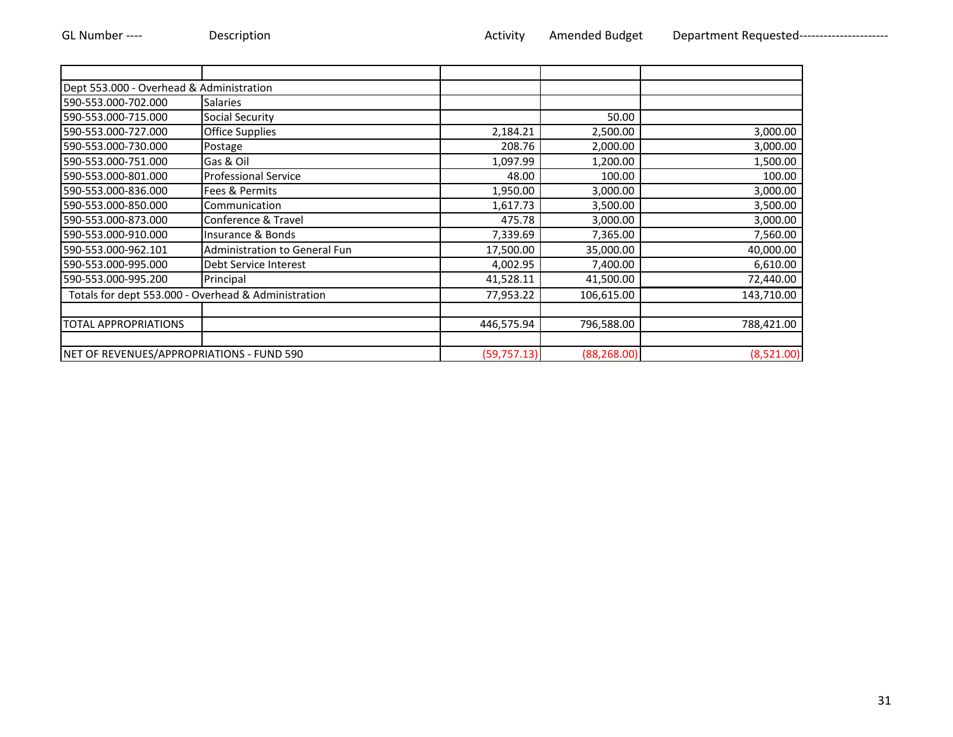| Dept 553.000 - Overhead & Administration  |                                                     |              |              |            |
|-------------------------------------------|-----------------------------------------------------|--------------|--------------|------------|
| 590-553.000-702.000                       | <b>Salaries</b>                                     |              |              |            |
| 590-553.000-715.000                       | Social Security                                     |              | 50.00        |            |
| 590-553.000-727.000                       | <b>Office Supplies</b>                              | 2,184.21     | 2,500.00     | 3,000.00   |
| 590-553.000-730.000                       | Postage                                             | 208.76       | 2,000.00     | 3,000.00   |
| 590-553.000-751.000                       | Gas & Oil                                           | 1,097.99     | 1,200.00     | 1,500.00   |
| 590-553.000-801.000                       | <b>Professional Service</b>                         | 48.00        | 100.00       | 100.00     |
| 590-553.000-836.000                       | Fees & Permits                                      | 1,950.00     | 3,000.00     | 3,000.00   |
| 590-553.000-850.000                       | Communication                                       | 1,617.73     | 3,500.00     | 3,500.00   |
| 590-553.000-873.000                       | Conference & Travel                                 | 475.78       | 3,000.00     | 3,000.00   |
| 590-553.000-910.000                       | Insurance & Bonds                                   | 7,339.69     | 7,365.00     | 7,560.00   |
| 590-553.000-962.101                       | Administration to General Fun                       | 17,500.00    | 35,000.00    | 40,000.00  |
| 590-553.000-995.000                       | Debt Service Interest                               | 4,002.95     | 7,400.00     | 6,610.00   |
| 590-553.000-995.200                       | Principal                                           | 41,528.11    | 41,500.00    | 72,440.00  |
|                                           | Totals for dept 553.000 - Overhead & Administration | 77,953.22    | 106,615.00   | 143,710.00 |
|                                           |                                                     |              |              |            |
| <b>TOTAL APPROPRIATIONS</b>               |                                                     | 446,575.94   | 796,588.00   | 788,421.00 |
|                                           |                                                     |              |              |            |
| NET OF REVENUES/APPROPRIATIONS - FUND 590 |                                                     | (59, 757.13) | (88, 268.00) | (8,521.00) |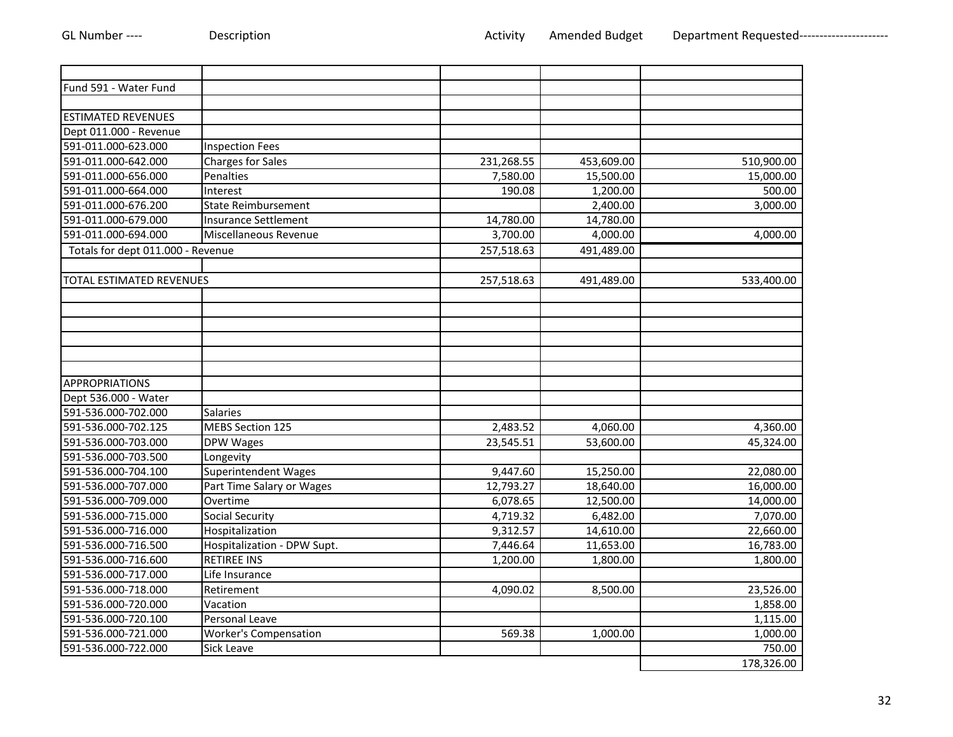| Fund 591 - Water Fund             |                              |            |            |            |
|-----------------------------------|------------------------------|------------|------------|------------|
|                                   |                              |            |            |            |
| <b>ESTIMATED REVENUES</b>         |                              |            |            |            |
| Dept 011.000 - Revenue            |                              |            |            |            |
| 591-011.000-623.000               | <b>Inspection Fees</b>       |            |            |            |
| 591-011.000-642.000               | <b>Charges for Sales</b>     | 231,268.55 | 453,609.00 | 510,900.00 |
| 591-011.000-656.000               | Penalties                    | 7,580.00   | 15,500.00  | 15,000.00  |
| 591-011.000-664.000               | Interest                     | 190.08     | 1,200.00   | 500.00     |
| 591-011.000-676.200               | <b>State Reimbursement</b>   |            | 2,400.00   | 3,000.00   |
| 591-011.000-679.000               | <b>Insurance Settlement</b>  | 14,780.00  | 14,780.00  |            |
| 591-011.000-694.000               | Miscellaneous Revenue        | 3,700.00   | 4,000.00   | 4,000.00   |
| Totals for dept 011.000 - Revenue |                              | 257,518.63 | 491,489.00 |            |
|                                   |                              |            |            |            |
| <b>TOTAL ESTIMATED REVENUES</b>   |                              | 257,518.63 | 491,489.00 | 533,400.00 |
|                                   |                              |            |            |            |
|                                   |                              |            |            |            |
|                                   |                              |            |            |            |
|                                   |                              |            |            |            |
| APPROPRIATIONS                    |                              |            |            |            |
| Dept 536.000 - Water              |                              |            |            |            |
| 591-536.000-702.000               | <b>Salaries</b>              |            |            |            |
| 591-536.000-702.125               | <b>MEBS Section 125</b>      | 2,483.52   | 4,060.00   | 4,360.00   |
| 591-536.000-703.000               | DPW Wages                    | 23,545.51  | 53,600.00  | 45,324.00  |
| 591-536.000-703.500               | Longevity                    |            |            |            |
| 591-536.000-704.100               | <b>Superintendent Wages</b>  | 9,447.60   | 15,250.00  | 22,080.00  |
| 591-536.000-707.000               | Part Time Salary or Wages    | 12,793.27  | 18,640.00  | 16,000.00  |
| 591-536.000-709.000               | Overtime                     | 6,078.65   | 12,500.00  | 14,000.00  |
| 591-536.000-715.000               | <b>Social Security</b>       | 4,719.32   | 6,482.00   | 7,070.00   |
| 591-536.000-716.000               | Hospitalization              | 9,312.57   | 14,610.00  | 22,660.00  |
| 591-536.000-716.500               | Hospitalization - DPW Supt.  | 7,446.64   | 11,653.00  | 16,783.00  |
| 591-536.000-716.600               | <b>RETIREE INS</b>           | 1,200.00   | 1,800.00   | 1,800.00   |
| 591-536.000-717.000               | Life Insurance               |            |            |            |
| 591-536.000-718.000               | Retirement                   | 4,090.02   | 8,500.00   | 23,526.00  |
| 591-536.000-720.000               | Vacation                     |            |            | 1,858.00   |
| 591-536.000-720.100               | Personal Leave               |            |            | 1,115.00   |
| 591-536.000-721.000               | <b>Worker's Compensation</b> | 569.38     | 1,000.00   | 1,000.00   |
| 591-536.000-722.000               | Sick Leave                   |            |            | 750.00     |
|                                   |                              |            |            | 178,326.00 |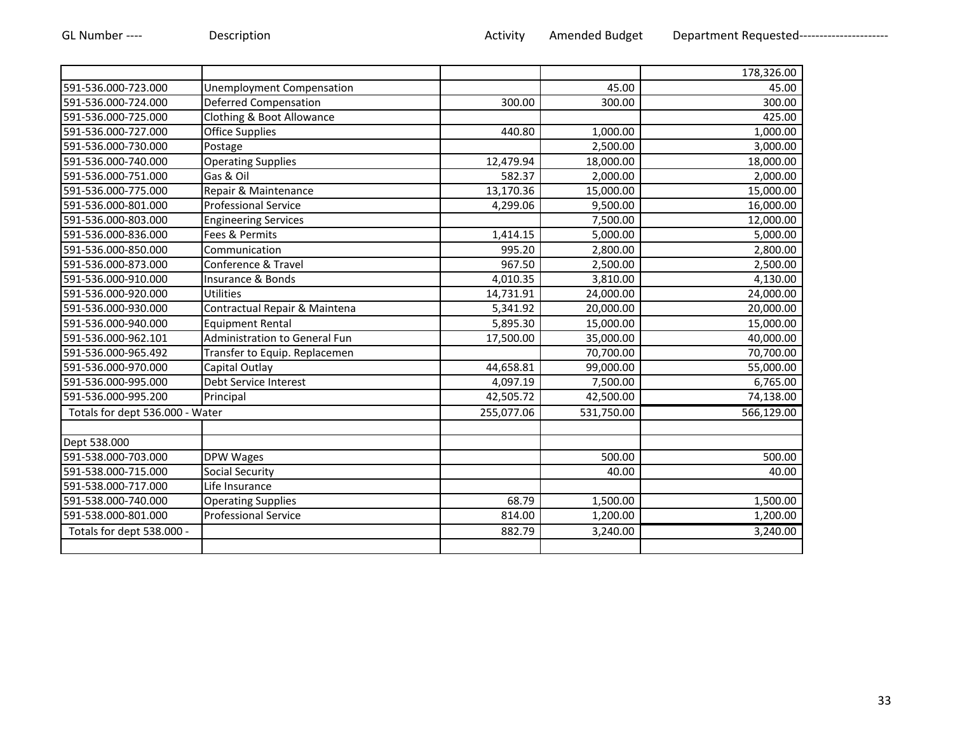|                                 |                                  |            |            | 178,326.00 |
|---------------------------------|----------------------------------|------------|------------|------------|
| 591-536.000-723.000             | <b>Unemployment Compensation</b> |            | 45.00      | 45.00      |
| 591-536.000-724.000             | <b>Deferred Compensation</b>     | 300.00     | 300.00     | 300.00     |
| 591-536.000-725.000             | Clothing & Boot Allowance        |            |            | 425.00     |
| 591-536.000-727.000             | <b>Office Supplies</b>           | 440.80     | 1,000.00   | 1,000.00   |
| 591-536.000-730.000             | Postage                          |            | 2,500.00   | 3,000.00   |
| 591-536.000-740.000             | <b>Operating Supplies</b>        | 12,479.94  | 18,000.00  | 18,000.00  |
| 591-536.000-751.000             | Gas & Oil                        | 582.37     | 2,000.00   | 2,000.00   |
| 591-536.000-775.000             | Repair & Maintenance             | 13,170.36  | 15,000.00  | 15,000.00  |
| 591-536.000-801.000             | Professional Service             | 4,299.06   | 9,500.00   | 16,000.00  |
| 591-536.000-803.000             | <b>Engineering Services</b>      |            | 7,500.00   | 12,000.00  |
| 591-536.000-836.000             | Fees & Permits                   | 1,414.15   | 5,000.00   | 5,000.00   |
| 591-536.000-850.000             | Communication                    | 995.20     | 2,800.00   | 2,800.00   |
| 591-536.000-873.000             | Conference & Travel              | 967.50     | 2,500.00   | 2,500.00   |
| 591-536.000-910.000             | Insurance & Bonds                | 4,010.35   | 3,810.00   | 4,130.00   |
| 591-536.000-920.000             | Utilities                        | 14,731.91  | 24,000.00  | 24,000.00  |
| 591-536.000-930.000             | Contractual Repair & Maintena    | 5,341.92   | 20,000.00  | 20,000.00  |
| 591-536.000-940.000             | <b>Equipment Rental</b>          | 5,895.30   | 15,000.00  | 15,000.00  |
| 591-536.000-962.101             | Administration to General Fun    | 17,500.00  | 35,000.00  | 40,000.00  |
| 591-536.000-965.492             | Transfer to Equip. Replacemen    |            | 70,700.00  | 70,700.00  |
| 591-536.000-970.000             | Capital Outlay                   | 44,658.81  | 99,000.00  | 55,000.00  |
| 591-536.000-995.000             | Debt Service Interest            | 4,097.19   | 7,500.00   | 6,765.00   |
| 591-536.000-995.200             | Principal                        | 42,505.72  | 42,500.00  | 74,138.00  |
| Totals for dept 536.000 - Water |                                  | 255,077.06 | 531,750.00 | 566,129.00 |
|                                 |                                  |            |            |            |
| Dept 538.000                    |                                  |            |            |            |
| 591-538.000-703.000             | DPW Wages                        |            | 500.00     | 500.00     |
| 591-538.000-715.000             | <b>Social Security</b>           |            | 40.00      | 40.00      |
| 591-538.000-717.000             | Life Insurance                   |            |            |            |
| 591-538.000-740.000             | <b>Operating Supplies</b>        | 68.79      | 1,500.00   | 1,500.00   |
| 591-538.000-801.000             | <b>Professional Service</b>      | 814.00     | 1,200.00   | 1,200.00   |
| Totals for dept 538.000 -       |                                  | 882.79     | 3,240.00   | 3,240.00   |
|                                 |                                  |            |            |            |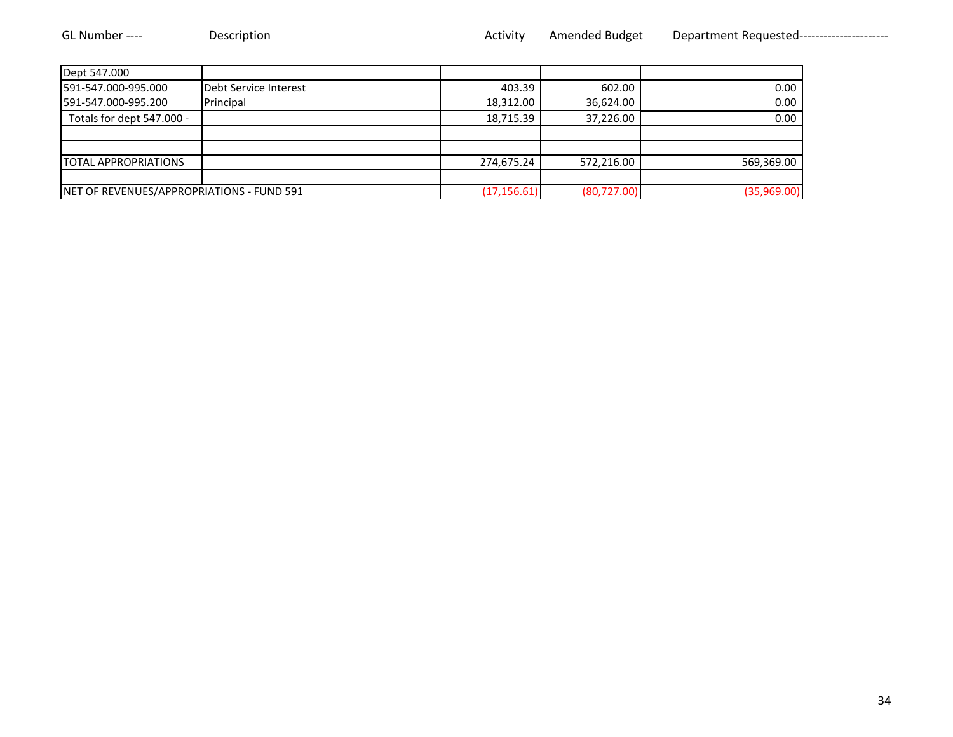| Dept 547.000                |                                           |            |                              |             |
|-----------------------------|-------------------------------------------|------------|------------------------------|-------------|
| 591-547.000-995.000         | Debt Service Interest                     | 403.39     | 602.00                       | 0.00        |
| 591-547.000-995.200         | Principal                                 | 18,312.00  | 36,624.00                    | 0.00        |
| Totals for dept 547.000 -   |                                           | 18,715.39  | 37,226.00                    | 0.00        |
|                             |                                           |            |                              |             |
|                             |                                           |            |                              |             |
| <b>TOTAL APPROPRIATIONS</b> |                                           | 274,675.24 | 572,216.00                   | 569,369.00  |
|                             |                                           |            |                              |             |
|                             | NET OF REVENUES/APPROPRIATIONS - FUND 591 |            | (80, 727.00)<br>(17, 156.61) | (35,969.00) |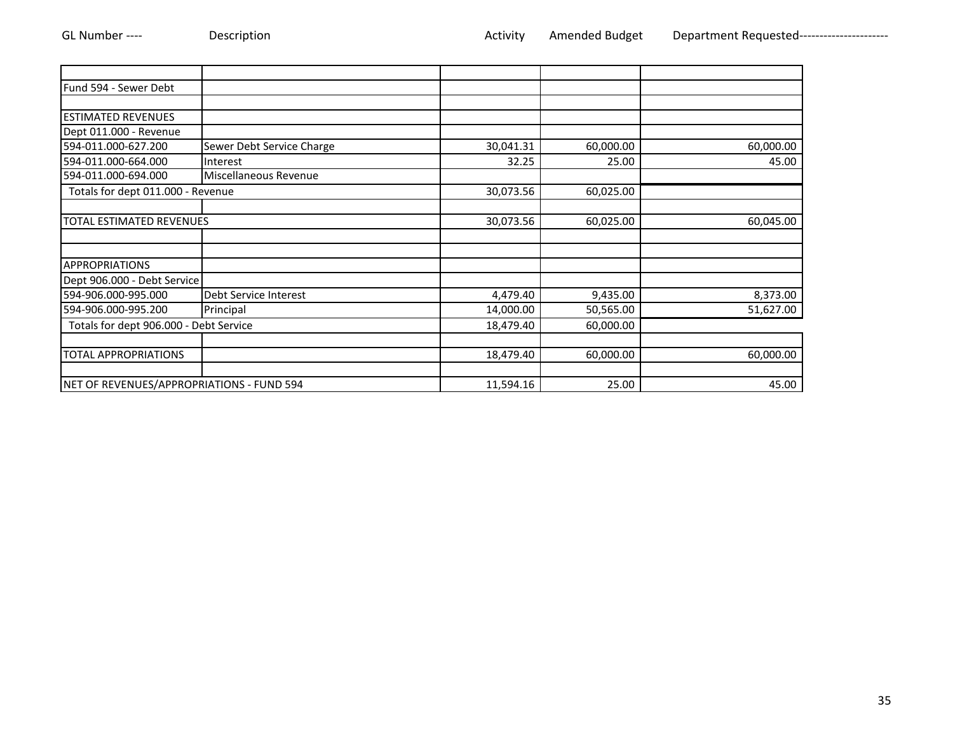| Fund 594 - Sewer Debt                     |                           |           |           |           |
|-------------------------------------------|---------------------------|-----------|-----------|-----------|
|                                           |                           |           |           |           |
| <b>ESTIMATED REVENUES</b>                 |                           |           |           |           |
| Dept 011.000 - Revenue                    |                           |           |           |           |
| 594-011.000-627.200                       | Sewer Debt Service Charge | 30,041.31 | 60,000.00 | 60,000.00 |
| 594-011.000-664.000                       | Interest                  | 32.25     | 25.00     | 45.00     |
| 594-011.000-694.000                       | Miscellaneous Revenue     |           |           |           |
| Totals for dept 011.000 - Revenue         |                           | 30,073.56 | 60,025.00 |           |
| <b>TOTAL ESTIMATED REVENUES</b>           |                           | 30,073.56 | 60,025.00 | 60,045.00 |
|                                           |                           |           |           |           |
| <b>APPROPRIATIONS</b>                     |                           |           |           |           |
| Dept 906.000 - Debt Service               |                           |           |           |           |
| 594-906.000-995.000                       | Debt Service Interest     | 4,479.40  | 9,435.00  | 8,373.00  |
| 594-906.000-995.200                       | Principal                 | 14,000.00 | 50,565.00 | 51,627.00 |
| Totals for dept 906.000 - Debt Service    |                           | 18,479.40 | 60,000.00 |           |
|                                           |                           |           |           |           |
| <b>TOTAL APPROPRIATIONS</b>               |                           | 18,479.40 | 60,000.00 | 60,000.00 |
| NET OF REVENUES/APPROPRIATIONS - FUND 594 |                           | 11,594.16 | 25.00     | 45.00     |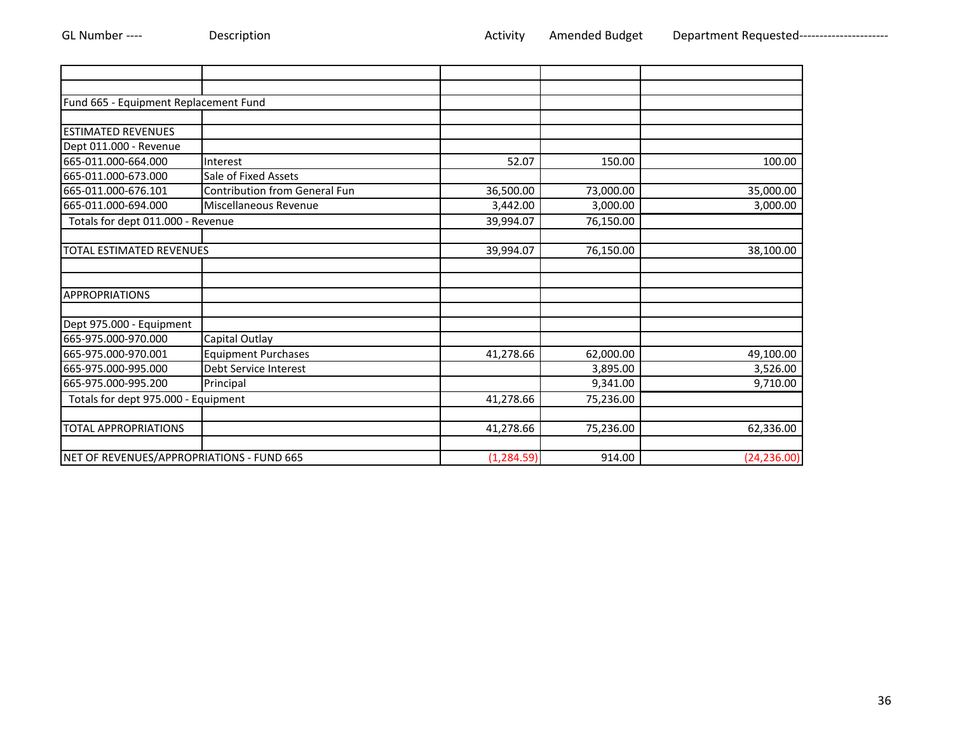| Fund 665 - Equipment Replacement Fund     |                               |             |           |              |
|-------------------------------------------|-------------------------------|-------------|-----------|--------------|
|                                           |                               |             |           |              |
| <b>ESTIMATED REVENUES</b>                 |                               |             |           |              |
| Dept 011.000 - Revenue                    |                               |             |           |              |
| 665-011.000-664.000                       | Interest                      | 52.07       | 150.00    | 100.00       |
| 665-011.000-673.000                       | Sale of Fixed Assets          |             |           |              |
| 665-011.000-676.101                       | Contribution from General Fun | 36,500.00   | 73,000.00 | 35,000.00    |
| 665-011.000-694.000                       | Miscellaneous Revenue         | 3,442.00    | 3,000.00  | 3,000.00     |
| Totals for dept 011.000 - Revenue         |                               | 39,994.07   | 76,150.00 |              |
| <b>TOTAL ESTIMATED REVENUES</b>           |                               | 39,994.07   | 76,150.00 | 38,100.00    |
|                                           |                               |             |           |              |
| <b>APPROPRIATIONS</b>                     |                               |             |           |              |
| Dept 975.000 - Equipment                  |                               |             |           |              |
| 665-975.000-970.000                       | Capital Outlay                |             |           |              |
| 665-975.000-970.001                       | <b>Equipment Purchases</b>    | 41,278.66   | 62,000.00 | 49,100.00    |
| 665-975.000-995.000                       | Debt Service Interest         |             | 3,895.00  | 3,526.00     |
| 665-975.000-995.200                       | Principal                     |             | 9,341.00  | 9,710.00     |
| Totals for dept 975.000 - Equipment       |                               | 41,278.66   | 75,236.00 |              |
| <b>TOTAL APPROPRIATIONS</b>               |                               | 41,278.66   | 75,236.00 | 62,336.00    |
| NET OF REVENUES/APPROPRIATIONS - FUND 665 |                               | (1, 284.59) | 914.00    | (24, 236.00) |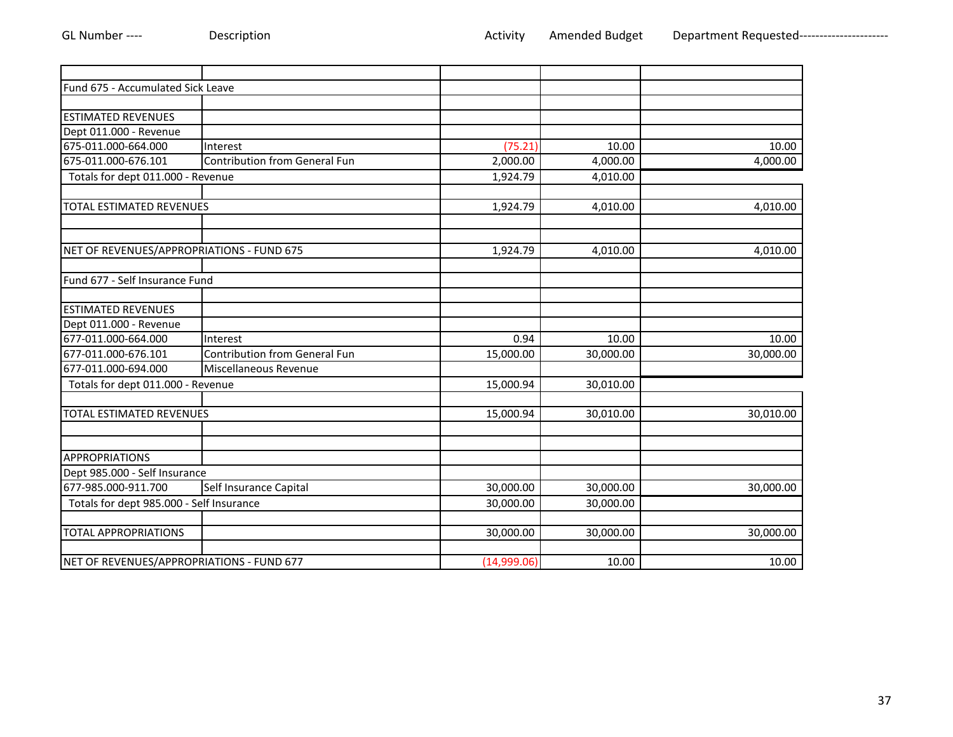| Fund 675 - Accumulated Sick Leave         |                                      |             |           |           |
|-------------------------------------------|--------------------------------------|-------------|-----------|-----------|
|                                           |                                      |             |           |           |
| <b>ESTIMATED REVENUES</b>                 |                                      |             |           |           |
| Dept 011.000 - Revenue                    |                                      |             |           |           |
| 675-011.000-664.000                       | Interest                             | (75.21)     | 10.00     | 10.00     |
| 675-011.000-676.101                       | <b>Contribution from General Fun</b> | 2,000.00    | 4,000.00  | 4,000.00  |
| Totals for dept 011.000 - Revenue         |                                      | 1,924.79    | 4,010.00  |           |
|                                           |                                      |             |           |           |
| <b>TOTAL ESTIMATED REVENUES</b>           |                                      | 1,924.79    | 4,010.00  | 4,010.00  |
|                                           |                                      |             |           |           |
|                                           |                                      |             |           |           |
| NET OF REVENUES/APPROPRIATIONS - FUND 675 |                                      | 1,924.79    | 4,010.00  | 4,010.00  |
|                                           |                                      |             |           |           |
| Fund 677 - Self Insurance Fund            |                                      |             |           |           |
|                                           |                                      |             |           |           |
| <b>ESTIMATED REVENUES</b>                 |                                      |             |           |           |
| Dept 011.000 - Revenue                    |                                      |             |           |           |
| 677-011.000-664.000                       | Interest                             | 0.94        | 10.00     | 10.00     |
| 677-011.000-676.101                       | <b>Contribution from General Fun</b> | 15,000.00   | 30,000.00 | 30,000.00 |
| 677-011.000-694.000                       | Miscellaneous Revenue                |             |           |           |
| Totals for dept 011.000 - Revenue         |                                      | 15,000.94   | 30,010.00 |           |
|                                           |                                      |             |           |           |
| <b>TOTAL ESTIMATED REVENUES</b>           |                                      | 15,000.94   | 30,010.00 | 30,010.00 |
|                                           |                                      |             |           |           |
|                                           |                                      |             |           |           |
| <b>APPROPRIATIONS</b>                     |                                      |             |           |           |
| Dept 985.000 - Self Insurance             |                                      |             |           |           |
| 677-985.000-911.700                       | Self Insurance Capital               | 30,000.00   | 30,000.00 | 30,000.00 |
| Totals for dept 985.000 - Self Insurance  |                                      | 30,000.00   | 30,000.00 |           |
|                                           |                                      |             |           |           |
| <b>TOTAL APPROPRIATIONS</b>               |                                      | 30,000.00   | 30,000.00 | 30,000.00 |
|                                           |                                      |             |           |           |
| NET OF REVENUES/APPROPRIATIONS - FUND 677 |                                      | (14,999.06) | 10.00     | 10.00     |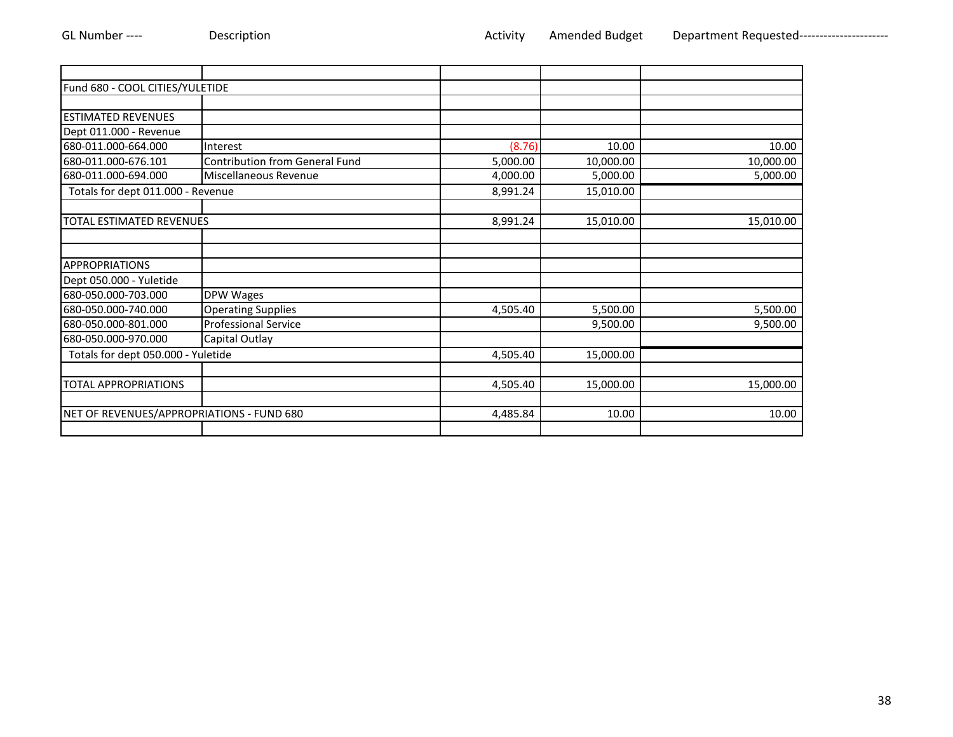| Fund 680 - COOL CITIES/YULETIDE           |                                       |          |           |           |
|-------------------------------------------|---------------------------------------|----------|-----------|-----------|
|                                           |                                       |          |           |           |
| <b>ESTIMATED REVENUES</b>                 |                                       |          |           |           |
| Dept 011.000 - Revenue                    |                                       |          |           |           |
| 680-011.000-664.000                       | Interest                              | (8.76)   | 10.00     | 10.00     |
| 680-011.000-676.101                       | <b>Contribution from General Fund</b> | 5,000.00 | 10,000.00 | 10,000.00 |
| 680-011.000-694.000                       | Miscellaneous Revenue                 | 4,000.00 | 5,000.00  | 5,000.00  |
| Totals for dept 011.000 - Revenue         |                                       | 8,991.24 | 15,010.00 |           |
|                                           |                                       |          |           |           |
| <b>TOTAL ESTIMATED REVENUES</b>           |                                       | 8,991.24 | 15,010.00 | 15,010.00 |
|                                           |                                       |          |           |           |
|                                           |                                       |          |           |           |
| <b>APPROPRIATIONS</b>                     |                                       |          |           |           |
| Dept 050.000 - Yuletide                   |                                       |          |           |           |
| 680-050.000-703.000                       | <b>DPW Wages</b>                      |          |           |           |
| 680-050.000-740.000                       | <b>Operating Supplies</b>             | 4,505.40 | 5,500.00  | 5,500.00  |
| 680-050.000-801.000                       | <b>Professional Service</b>           |          | 9,500.00  | 9,500.00  |
| 680-050.000-970.000                       | Capital Outlay                        |          |           |           |
| Totals for dept 050.000 - Yuletide        |                                       | 4,505.40 | 15,000.00 |           |
|                                           |                                       |          |           |           |
| <b>TOTAL APPROPRIATIONS</b>               |                                       | 4,505.40 | 15,000.00 | 15,000.00 |
|                                           |                                       |          |           |           |
| NET OF REVENUES/APPROPRIATIONS - FUND 680 |                                       | 4,485.84 | 10.00     | 10.00     |
|                                           |                                       |          |           |           |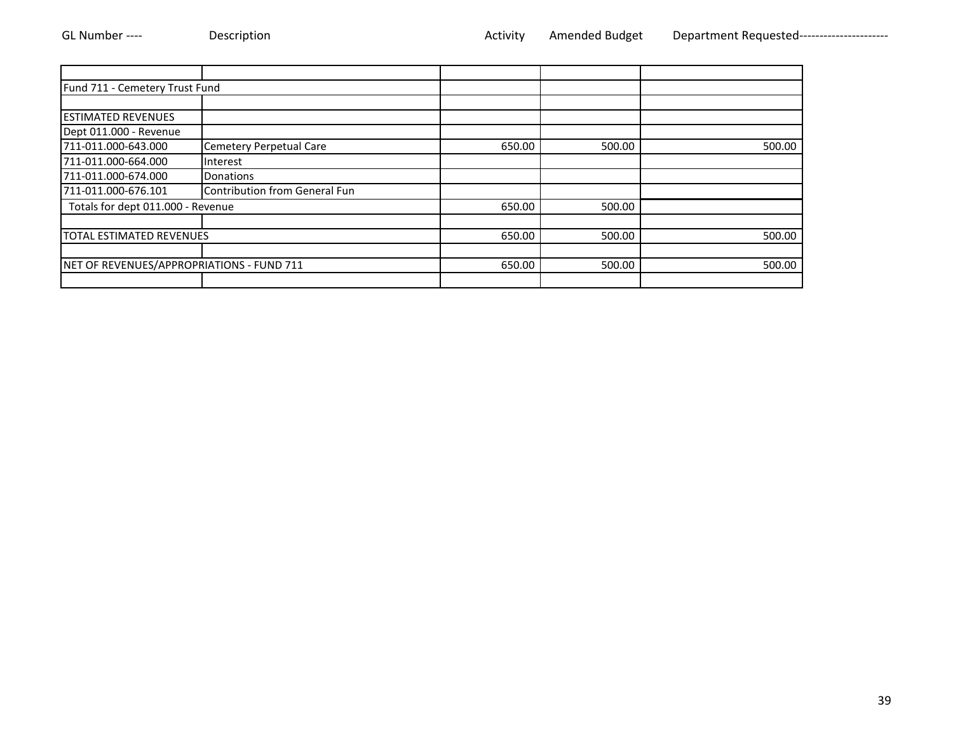| Fund 711 - Cemetery Trust Fund            |                               |        |        |        |
|-------------------------------------------|-------------------------------|--------|--------|--------|
|                                           |                               |        |        |        |
| <b>ESTIMATED REVENUES</b>                 |                               |        |        |        |
| Dept 011.000 - Revenue                    |                               |        |        |        |
| 711-011.000-643.000                       | Cemetery Perpetual Care       | 650.00 | 500.00 | 500.00 |
| 711-011.000-664.000                       | Interest                      |        |        |        |
| 711-011.000-674.000                       | Donations                     |        |        |        |
| 711-011.000-676.101                       | Contribution from General Fun |        |        |        |
| Totals for dept 011.000 - Revenue         |                               | 650.00 | 500.00 |        |
|                                           |                               |        |        |        |
| <b>TOTAL ESTIMATED REVENUES</b>           |                               | 650.00 | 500.00 | 500.00 |
|                                           |                               |        |        |        |
| NET OF REVENUES/APPROPRIATIONS - FUND 711 |                               | 650.00 | 500.00 | 500.00 |
|                                           |                               |        |        |        |